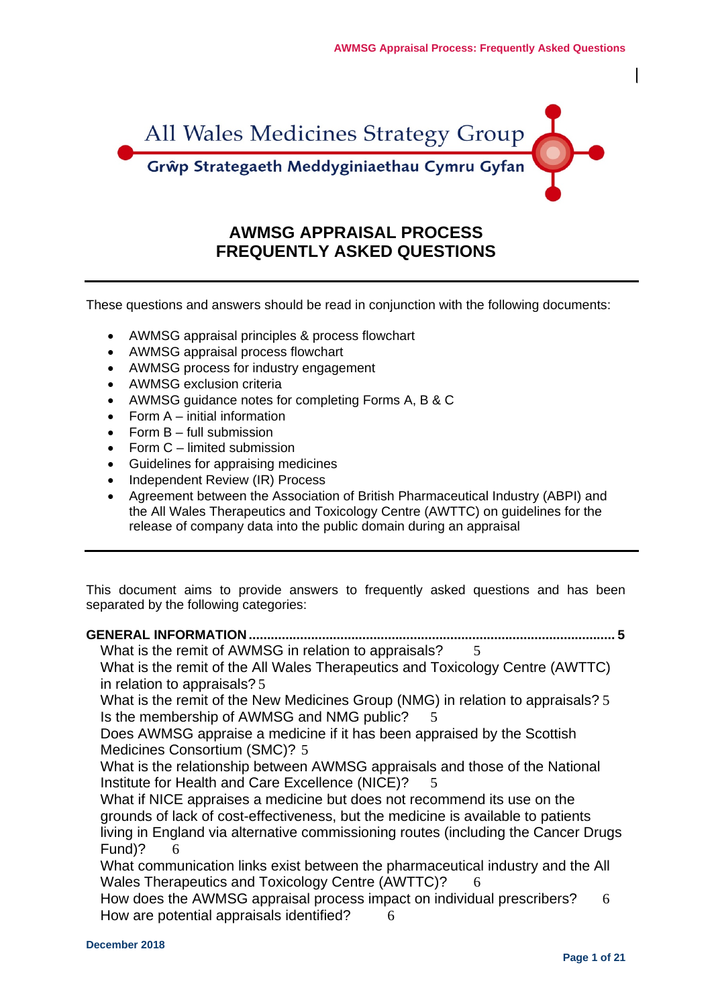

# **AWMSG APPRAISAL PROCESS FREQUENTLY ASKED QUESTIONS**

These questions and answers should be read in conjunction with the following documents:

- AWMSG appraisal principles & process flowchart
- AWMSG appraisal process flowchart
- AWMSG process for industry engagement
- AWMSG exclusion criteria
- AWMSG guidance notes for completing Forms A, B & C
- Form A initial information
- Form B full submission
- Form C limited submission
- Guidelines for appraising medicines
- Independent Review (IR) Process
- Agreement between the Association of British Pharmaceutical Industry (ABPI) and the All Wales Therapeutics and Toxicology Centre (AWTTC) on guidelines for the release of company data into the public domain during an appraisal

This document aims to provide answers to frequently asked questions and has been separated by the following categories:

| <b>GENERAL INFORMATION </b>                                                        |
|------------------------------------------------------------------------------------|
| What is the remit of AWMSG in relation to appraisals?<br>.5                        |
| What is the remit of the All Wales Therapeutics and Toxicology Centre (AWTTC)      |
| in relation to appraisals? 5                                                       |
| What is the remit of the New Medicines Group (NMG) in relation to appraisals? 5    |
| Is the membership of AWMSG and NMG public?<br>.5                                   |
| Does AWMSG appraise a medicine if it has been appraised by the Scottish            |
| Medicines Consortium (SMC)? 5                                                      |
| What is the relationship between AWMSG appraisals and those of the National        |
| Institute for Health and Care Excellence (NICE)?<br>$\overline{5}$                 |
| What if NICE appraises a medicine but does not recommend its use on the            |
| grounds of lack of cost-effectiveness, but the medicine is available to patients   |
| living in England via alternative commissioning routes (including the Cancer Drugs |
| Fund)?<br>6                                                                        |
| What communication links exist between the pharmaceutical industry and the All     |
| Wales Therapeutics and Toxicology Centre (AWTTC)?<br>- 6                           |
| How does the AWMSG appraisal process impact on individual prescribers?<br>6        |
| How are potential appraisals identified?<br>6                                      |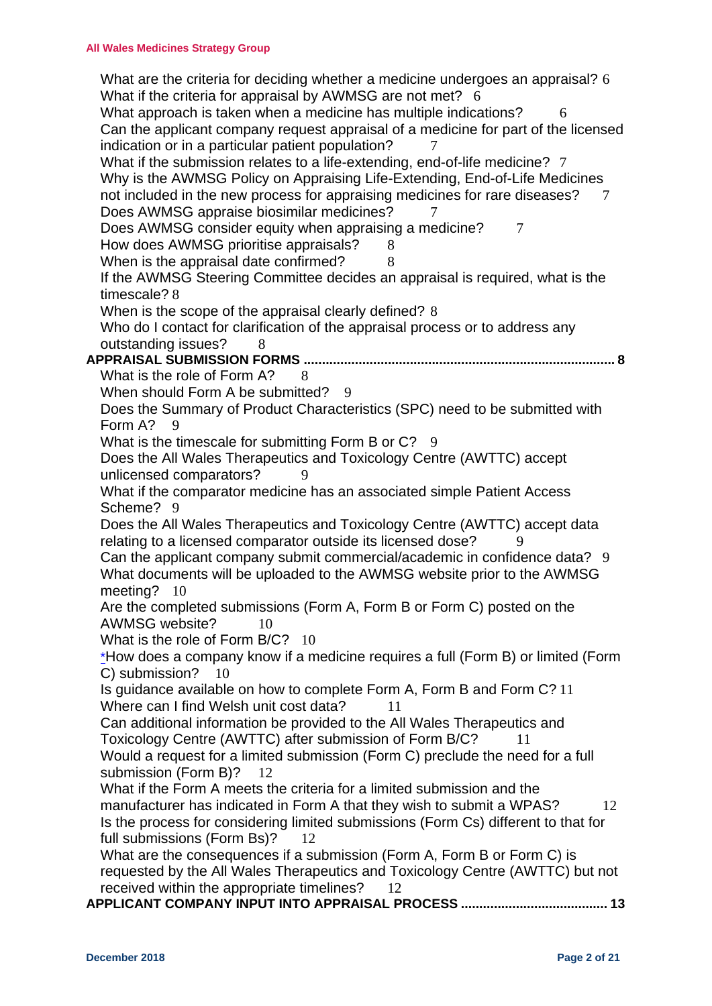[What are the criteria for deciding whether a medicine undergoes an appraisal?](#page-5-4) 6 [What if the criteria for appraisal by AWMSG are not met?](#page-5-5) 6 [What approach is taken when a medicine has multiple indications?](#page-5-6) 6 [Can the applicant company request appraisal of a medicine for part of the licensed](#page-6-0)  [indication or in a particular patient population?](#page-6-0)  $\frac{7}{7}$ [What if the submission relates to a life-extending, end-of-life medicine?](#page-6-1) 7 [Why is the AWMSG Policy on Appraising Life-Extending, End-of-Life Medicines](#page-6-2)  [not included in the new process for appraising medicines for rare diseases?](#page-6-2) 7 [Does AWMSG appraise biosimilar medicines?](#page-6-3) [Does AWMSG consider equity when appraising a medicine?](#page-6-4) 7 [How does AWMSG prioritise appraisals?](#page-7-0) 8 [When is the appraisal date confirmed?](#page-7-1) 8 [If the AWMSG Steering Committee decides an appraisal is required, what is the](#page-7-2)  [timescale?](#page-7-2) 8 [When is the scope of the appraisal clearly defined?](#page-7-3) 8 Who do I contact for clarification of the appraisal process or to address any [outstanding issues?](#page-7-4) 8 **APPRAISAL SUBMISSION FORMS [.....................................................................................](#page-7-5) 8** [What is the role of Form A?](#page-7-6) [When should Form A be submitted?](#page-8-0) 9 [Does the Summary of Product Characteristics \(SPC\) need to be submitted with](#page-8-1)  [Form A?](#page-8-1) 9 [What is the timescale for submitting Form B or C?](#page-8-2) 9 [Does the All Wales Therapeutics and Toxicology Centre \(AWTTC\) accept](#page-8-3)  [unlicensed comparators?](#page-8-3) 9 [What if the comparator medicine has an associated simple Patient Access](#page-8-4)  [Scheme?](#page-8-4) 9 [Does the All Wales Therapeutics and Toxicology Centre \(AWTTC\) accept data](#page-8-5)  [relating to a licensed comparator outside its licensed dose?](#page-8-5) 9 [Can the applicant company submit commercial/academic in confidence data?](#page-8-6) 9 [What documents will be uploaded to the AWMSG website prior to the AWMSG](#page-9-0)  [meeting?](#page-9-0) 10 [Are the completed submissions \(Form A, Form B or Form C\) posted on the](#page-9-1)  [AWMSG website?](#page-9-1) 10 [What is the role of Form B/C?](#page-9-2) 10 [\\*How does a company know if a medicine requires a full \(Form B\) or limited \(Form](#page-9-3)  [C\) submission?](#page-9-3) 10 [Is guidance available on how to complete Form A, Form B and Form C?](#page-10-0) 11 [Where can I find Welsh unit cost data?](#page-10-1) 11 [Can additional information be provided to the All Wales Therapeutics and](#page-10-2)  [Toxicology Centre \(AWTTC\) after submission of Form B/C?](#page-10-2) 11 [Would a request for a limited submission \(Form C\) preclude the need for a full](#page-11-0)  [submission \(Form B\)?](#page-11-0) 12 [What if the Form A meets the criteria for a limited submission and the](#page-11-1)  [manufacturer has indicated in Form A that they wish to submit a WPAS?](#page-11-1) 12 [Is the process for considering limited submissions \(Form Cs\) different to that for](#page-11-2)  [full submissions \(Form Bs\)?](#page-11-2) 12 [What are the consequences if a submission \(Form A, Form B or Form C\) is](#page-11-3)  [requested by the All Wales Therapeutics and Toxicology Centre \(AWTTC\) but not](#page-11-3)  [received within the appropriate timelines?](#page-11-3) 12 **[APPLICANT COMPANY INPUT INTO APPRAISAL PROCESS](#page-12-0) ........................................ 13**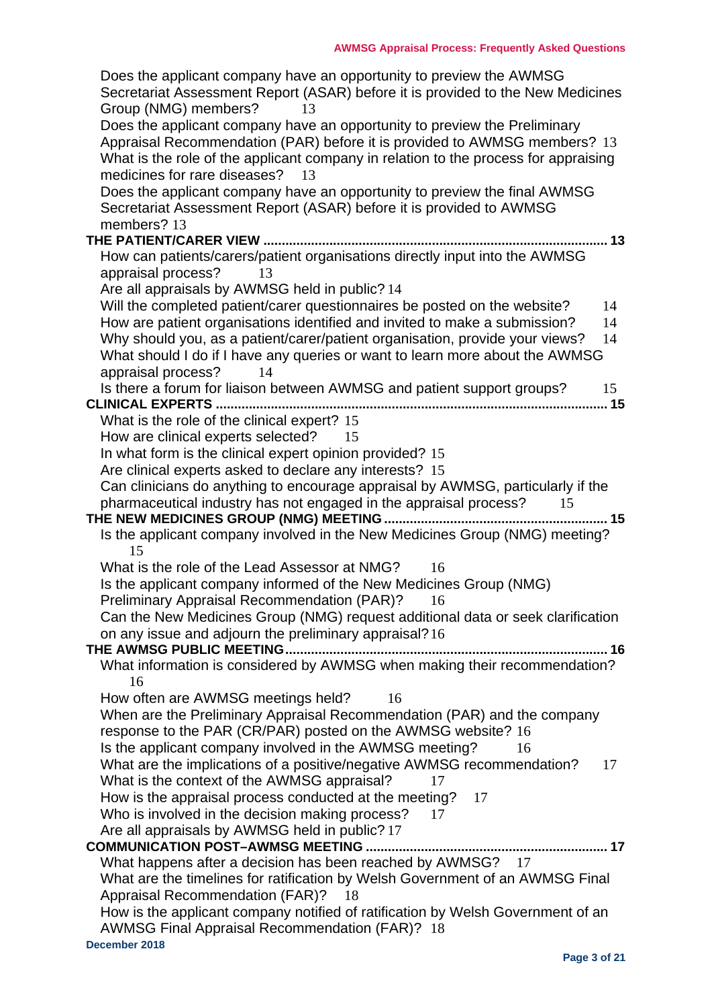| Does the applicant company have an opportunity to preview the AWMSG                                                                              |
|--------------------------------------------------------------------------------------------------------------------------------------------------|
| Secretariat Assessment Report (ASAR) before it is provided to the New Medicines                                                                  |
| Group (NMG) members?<br>13                                                                                                                       |
| Does the applicant company have an opportunity to preview the Preliminary                                                                        |
| Appraisal Recommendation (PAR) before it is provided to AWMSG members? 13                                                                        |
| What is the role of the applicant company in relation to the process for appraising                                                              |
| medicines for rare diseases?<br>13                                                                                                               |
| Does the applicant company have an opportunity to preview the final AWMSG<br>Secretariat Assessment Report (ASAR) before it is provided to AWMSG |
| members? 13                                                                                                                                      |
| THE PATIENT/CARER VIEW.<br>13                                                                                                                    |
| How can patients/carers/patient organisations directly input into the AWMSG                                                                      |
| appraisal process?<br>13                                                                                                                         |
| Are all appraisals by AWMSG held in public? 14                                                                                                   |
| Will the completed patient/carer questionnaires be posted on the website?<br>14                                                                  |
| How are patient organisations identified and invited to make a submission?<br>14                                                                 |
| Why should you, as a patient/carer/patient organisation, provide your views?<br>14                                                               |
| What should I do if I have any queries or want to learn more about the AWMSG                                                                     |
| appraisal process?<br>14                                                                                                                         |
| Is there a forum for liaison between AWMSG and patient support groups?<br>15                                                                     |
| 15<br><b>CLINICAL EXPERTS</b>                                                                                                                    |
| What is the role of the clinical expert? 15                                                                                                      |
| How are clinical experts selected?<br>15                                                                                                         |
| In what form is the clinical expert opinion provided? 15                                                                                         |
| Are clinical experts asked to declare any interests? 15                                                                                          |
| Can clinicians do anything to encourage appraisal by AWMSG, particularly if the                                                                  |
| pharmaceutical industry has not engaged in the appraisal process?<br>15<br>.15                                                                   |
| Is the applicant company involved in the New Medicines Group (NMG) meeting?                                                                      |
| 15                                                                                                                                               |
| What is the role of the Lead Assessor at NMG?<br>16                                                                                              |
| Is the applicant company informed of the New Medicines Group (NMG)                                                                               |
| <b>Preliminary Appraisal Recommendation (PAR)?</b><br>16                                                                                         |
| Can the New Medicines Group (NMG) request additional data or seek clarification                                                                  |
| on any issue and adjourn the preliminary appraisal? 16                                                                                           |
| THE AWMSG PUBLIC MEETING<br>……. 16                                                                                                               |
| What information is considered by AWMSG when making their recommendation?                                                                        |
| 16                                                                                                                                               |
| How often are AWMSG meetings held?<br>16                                                                                                         |
| When are the Preliminary Appraisal Recommendation (PAR) and the company                                                                          |
| response to the PAR (CR/PAR) posted on the AWMSG website? 16                                                                                     |
| Is the applicant company involved in the AWMSG meeting?<br>16                                                                                    |
| What are the implications of a positive/negative AWMSG recommendation?<br>17                                                                     |
| What is the context of the AWMSG appraisal?<br>17                                                                                                |
| How is the appraisal process conducted at the meeting?<br>17<br>Who is involved in the decision making process?<br>17                            |
| Are all appraisals by AWMSG held in public? 17                                                                                                   |
|                                                                                                                                                  |
| What happens after a decision has been reached by AWMSG? 17                                                                                      |
| What are the timelines for ratification by Welsh Government of an AWMSG Final                                                                    |
| Appraisal Recommendation (FAR)?<br>- 18                                                                                                          |
| How is the applicant company notified of ratification by Welsh Government of an                                                                  |
| AWMSG Final Appraisal Recommendation (FAR)? 18                                                                                                   |
| December 2018                                                                                                                                    |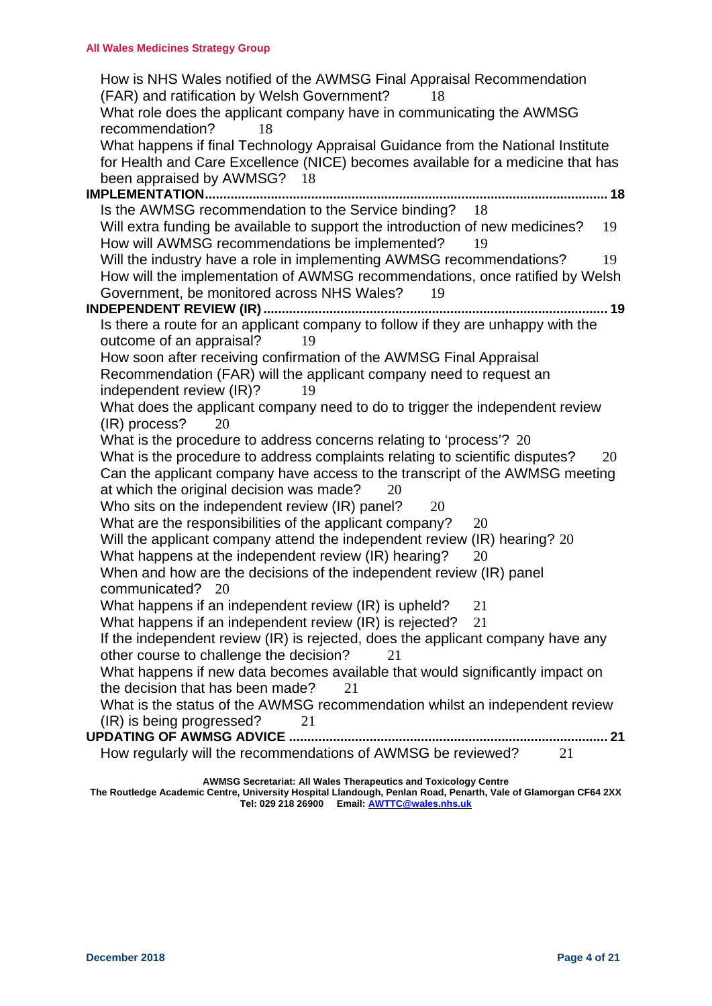| How is NHS Wales notified of the AWMSG Final Appraisal Recommendation<br>(FAR) and ratification by Welsh Government?<br>18<br>What role does the applicant company have in communicating the AWMSG<br>recommendation?<br>18 |
|-----------------------------------------------------------------------------------------------------------------------------------------------------------------------------------------------------------------------------|
| What happens if final Technology Appraisal Guidance from the National Institute<br>for Health and Care Excellence (NICE) becomes available for a medicine that has<br>been appraised by AWMSG? 18                           |
| <b>IMPLEMENTATION</b>                                                                                                                                                                                                       |
| Is the AWMSG recommendation to the Service binding? 18                                                                                                                                                                      |
| Will extra funding be available to support the introduction of new medicines?<br>19                                                                                                                                         |
| How will AWMSG recommendations be implemented?<br>19                                                                                                                                                                        |
| Will the industry have a role in implementing AWMSG recommendations?<br>19                                                                                                                                                  |
| How will the implementation of AWMSG recommendations, once ratified by Welsh                                                                                                                                                |
| Government, be monitored across NHS Wales?<br>19                                                                                                                                                                            |
| . 19                                                                                                                                                                                                                        |
| Is there a route for an applicant company to follow if they are unhappy with the                                                                                                                                            |
| outcome of an appraisal?<br>19                                                                                                                                                                                              |
| How soon after receiving confirmation of the AWMSG Final Appraisal                                                                                                                                                          |
| Recommendation (FAR) will the applicant company need to request an                                                                                                                                                          |
| independent review (IR)?<br>19                                                                                                                                                                                              |
| What does the applicant company need to do to trigger the independent review                                                                                                                                                |
| (IR) process?<br>20                                                                                                                                                                                                         |
| What is the procedure to address concerns relating to 'process'? 20                                                                                                                                                         |
| What is the procedure to address complaints relating to scientific disputes?<br>20                                                                                                                                          |
| Can the applicant company have access to the transcript of the AWMSG meeting                                                                                                                                                |
| at which the original decision was made?<br>20                                                                                                                                                                              |
| Who sits on the independent review (IR) panel?<br>20                                                                                                                                                                        |
| What are the responsibilities of the applicant company?<br>20                                                                                                                                                               |
| Will the applicant company attend the independent review (IR) hearing? 20                                                                                                                                                   |
| What happens at the independent review (IR) hearing?<br>20                                                                                                                                                                  |
| When and how are the decisions of the independent review (IR) panel                                                                                                                                                         |
| communicated? 20                                                                                                                                                                                                            |
| What happens if an independent review (IR) is upheld?<br>21                                                                                                                                                                 |
| What happens if an independent review (IR) is rejected?<br>21                                                                                                                                                               |
| If the independent review (IR) is rejected, does the applicant company have any                                                                                                                                             |
| other course to challenge the decision?<br>21                                                                                                                                                                               |
| What happens if new data becomes available that would significantly impact on                                                                                                                                               |
| the decision that has been made?<br>21                                                                                                                                                                                      |
| What is the status of the AWMSG recommendation whilst an independent review                                                                                                                                                 |
| (IR) is being progressed?<br>21                                                                                                                                                                                             |
|                                                                                                                                                                                                                             |
| How regularly will the recommendations of AWMSG be reviewed?<br>21                                                                                                                                                          |
|                                                                                                                                                                                                                             |

**AWMSG Secretariat: All Wales Therapeutics and Toxicology Centre**

**The Routledge Academic Centre, University Hospital Llandough, Penlan Road, Penarth, Vale of Glamorgan CF64 2XX Tel: 029 218 26900 Email: [AWTTC@wales.nhs.uk](mailto:wmp@wales.nhs.uk)**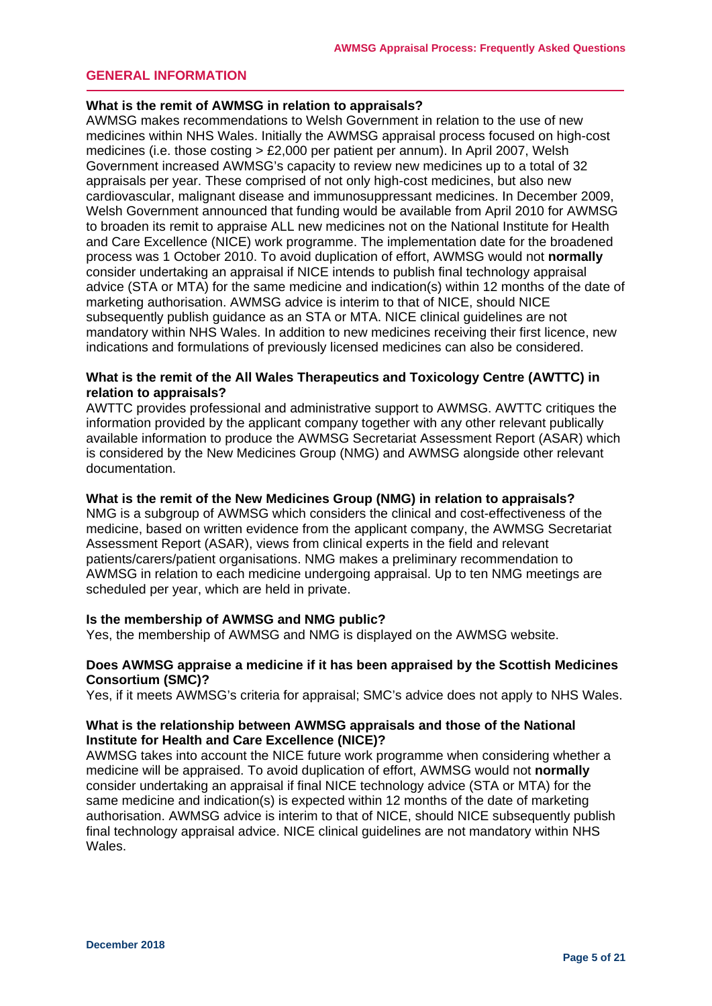## <span id="page-4-0"></span>**GENERAL INFORMATION**

#### <span id="page-4-1"></span>**What is the remit of AWMSG in relation to appraisals?**

AWMSG makes recommendations to Welsh Government in relation to the use of new medicines within NHS Wales. Initially the AWMSG appraisal process focused on high-cost medicines (i.e. those costing > £2,000 per patient per annum). In April 2007, Welsh Government increased AWMSG's capacity to review new medicines up to a total of 32 appraisals per year. These comprised of not only high-cost medicines, but also new cardiovascular, malignant disease and immunosuppressant medicines. In December 2009, Welsh Government announced that funding would be available from April 2010 for AWMSG to broaden its remit to appraise ALL new medicines not on the National Institute for Health and Care Excellence (NICE) work programme. The implementation date for the broadened process was 1 October 2010. To avoid duplication of effort, AWMSG would not **normally**  consider undertaking an appraisal if NICE intends to publish final technology appraisal advice (STA or MTA) for the same medicine and indication(s) within 12 months of the date of marketing authorisation. AWMSG advice is interim to that of NICE, should NICE subsequently publish guidance as an STA or MTA. NICE clinical guidelines are not mandatory within NHS Wales. In addition to new medicines receiving their first licence, new indications and formulations of previously licensed medicines can also be considered.

## <span id="page-4-2"></span>**What is the remit of the All Wales Therapeutics and Toxicology Centre (AWTTC) in relation to appraisals?**

AWTTC provides professional and administrative support to AWMSG. AWTTC critiques the information provided by the applicant company together with any other relevant publically available information to produce the AWMSG Secretariat Assessment Report (ASAR) which is considered by the New Medicines Group (NMG) and AWMSG alongside other relevant documentation.

#### <span id="page-4-3"></span>**What is the remit of the New Medicines Group (NMG) in relation to appraisals?**

NMG is a subgroup of AWMSG which considers the clinical and cost-effectiveness of the medicine, based on written evidence from the applicant company, the AWMSG Secretariat Assessment Report (ASAR), views from clinical experts in the field and relevant patients/carers/patient organisations. NMG makes a preliminary recommendation to AWMSG in relation to each medicine undergoing appraisal. Up to ten NMG meetings are scheduled per year, which are held in private.

#### <span id="page-4-4"></span>**Is the membership of AWMSG and NMG public?**

Yes, the membership of AWMSG and NMG is displayed on the AWMSG website.

## <span id="page-4-5"></span>**Does AWMSG appraise a medicine if it has been appraised by the Scottish Medicines Consortium (SMC)?**

Yes, if it meets AWMSG's criteria for appraisal; SMC's advice does not apply to NHS Wales.

## <span id="page-4-6"></span>**What is the relationship between AWMSG appraisals and those of the National Institute for Health and Care Excellence (NICE)?**

AWMSG takes into account the NICE future work programme when considering whether a medicine will be appraised. To avoid duplication of effort, AWMSG would not **normally** consider undertaking an appraisal if final NICE technology advice (STA or MTA) for the same medicine and indication(s) is expected within 12 months of the date of marketing authorisation. AWMSG advice is interim to that of NICE, should NICE subsequently publish final technology appraisal advice. NICE clinical guidelines are not mandatory within NHS Wales.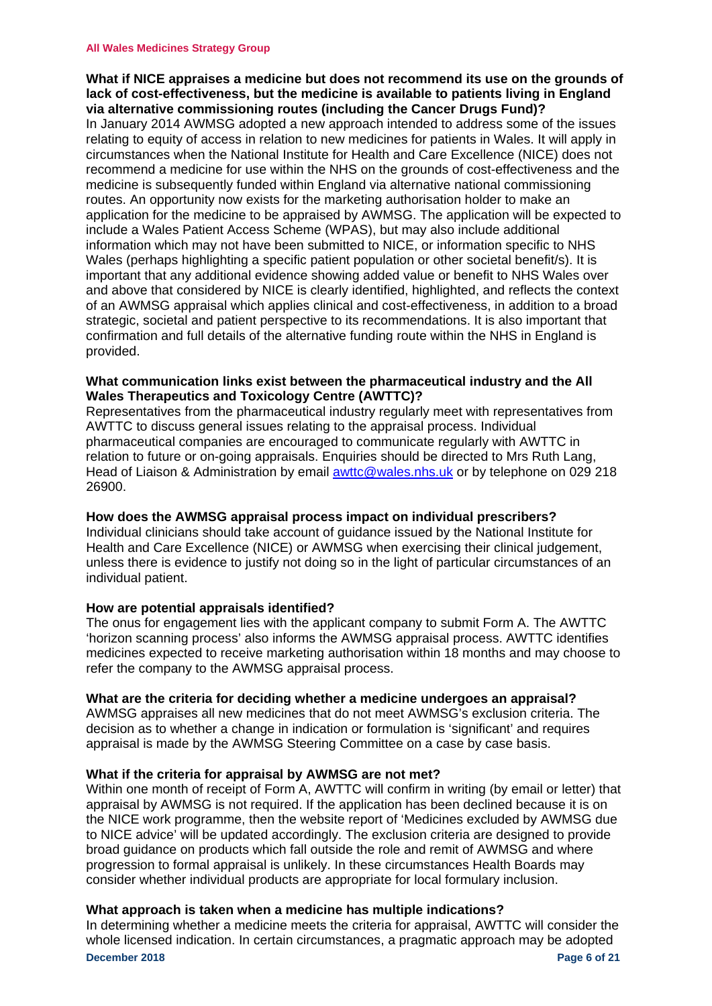## <span id="page-5-0"></span>**What if NICE appraises a medicine but does not recommend its use on the grounds of lack of cost-effectiveness, but the medicine is available to patients living in England via alternative commissioning routes (including the Cancer Drugs Fund)?**

In January 2014 AWMSG adopted a new approach intended to address some of the issues relating to equity of access in relation to new medicines for patients in Wales. It will apply in circumstances when the National Institute for Health and Care Excellence (NICE) does not recommend a medicine for use within the NHS on the grounds of cost-effectiveness and the medicine is subsequently funded within England via alternative national commissioning routes. An opportunity now exists for the marketing authorisation holder to make an application for the medicine to be appraised by AWMSG. The application will be expected to include a Wales Patient Access Scheme (WPAS), but may also include additional information which may not have been submitted to NICE, or information specific to NHS Wales (perhaps highlighting a specific patient population or other societal benefit/s). It is important that any additional evidence showing added value or benefit to NHS Wales over and above that considered by NICE is clearly identified, highlighted, and reflects the context of an AWMSG appraisal which applies clinical and cost-effectiveness, in addition to a broad strategic, societal and patient perspective to its recommendations. It is also important that confirmation and full details of the alternative funding route within the NHS in England is provided.

## <span id="page-5-1"></span>**What communication links exist between the pharmaceutical industry and the All Wales Therapeutics and Toxicology Centre (AWTTC)?**

Representatives from the pharmaceutical industry regularly meet with representatives from AWTTC to discuss general issues relating to the appraisal process. Individual pharmaceutical companies are encouraged to communicate regularly with AWTTC in relation to future or on-going appraisals. Enquiries should be directed to Mrs Ruth Lang, Head of Liaison & Administration by email [awttc@wales.nhs.uk](mailto:awttc@wales.nhs.uk) or by telephone on 029 218 26900.

## <span id="page-5-2"></span>**How does the AWMSG appraisal process impact on individual prescribers?**

Individual clinicians should take account of guidance issued by the National Institute for Health and Care Excellence (NICE) or AWMSG when exercising their clinical judgement, unless there is evidence to justify not doing so in the light of particular circumstances of an individual patient.

## <span id="page-5-3"></span>**How are potential appraisals identified?**

The onus for engagement lies with the applicant company to submit Form A. The AWTTC 'horizon scanning process' also informs the AWMSG appraisal process. AWTTC identifies medicines expected to receive marketing authorisation within 18 months and may choose to refer the company to the AWMSG appraisal process.

## <span id="page-5-4"></span>**What are the criteria for deciding whether a medicine undergoes an appraisal?**

AWMSG appraises all new medicines that do not meet AWMSG's exclusion criteria. The decision as to whether a change in indication or formulation is 'significant' and requires appraisal is made by the AWMSG Steering Committee on a case by case basis.

## <span id="page-5-5"></span>**What if the criteria for appraisal by AWMSG are not met?**

Within one month of receipt of Form A, AWTTC will confirm in writing (by email or letter) that appraisal by AWMSG is not required. If the application has been declined because it is on the NICE work programme, then the website report of ['Medicines excluded by AWMSG due](http://www.awmsg.org/awmsgonline/app/reportexclusion)  [to NICE advice'](http://www.awmsg.org/awmsgonline/app/reportexclusion) will be updated accordingly. The exclusion criteria are designed to provide broad guidance on products which fall outside the role and remit of AWMSG and where progression to formal appraisal is unlikely. In these circumstances Health Boards may consider whether individual products are appropriate for local formulary inclusion.

## <span id="page-5-6"></span>**What approach is taken when a medicine has multiple indications?**

**December 2018** Page 6 of 21 In determining whether a medicine meets the criteria for appraisal, AWTTC will consider the whole licensed indication. In certain circumstances, a pragmatic approach may be adopted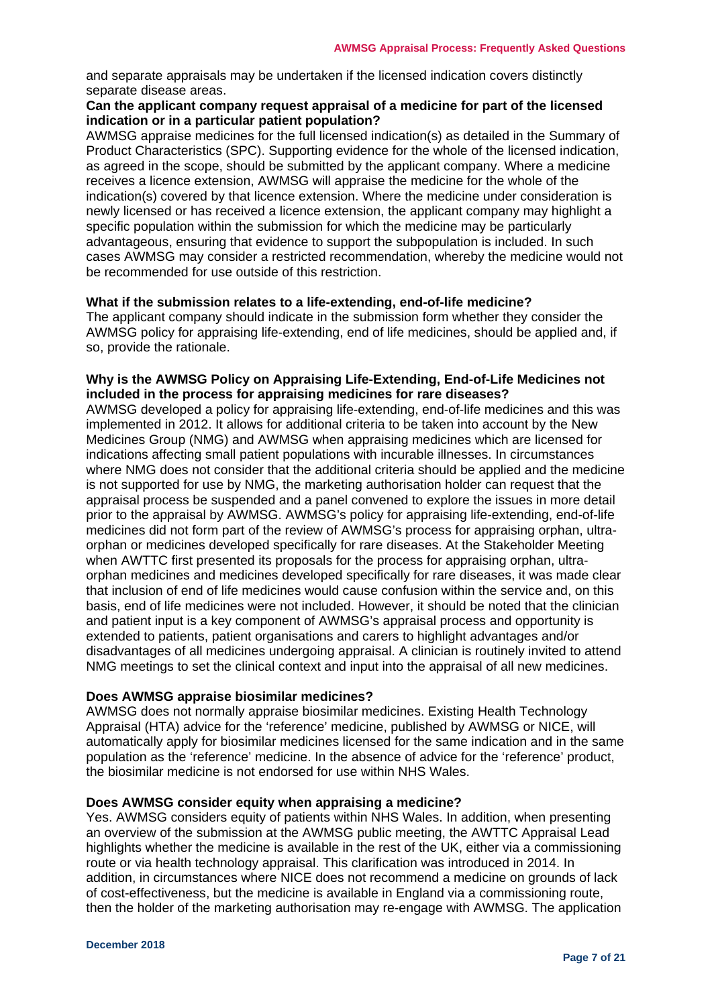and separate appraisals may be undertaken if the licensed indication covers distinctly separate disease areas.

## <span id="page-6-0"></span>**Can the applicant company request appraisal of a medicine for part of the licensed indication or in a particular patient population?**

AWMSG appraise medicines for the full licensed indication(s) as detailed in the Summary of Product Characteristics (SPC). Supporting evidence for the whole of the licensed indication, as agreed in the scope, should be submitted by the applicant company. Where a medicine receives a licence extension, AWMSG will appraise the medicine for the whole of the indication(s) covered by that licence extension. Where the medicine under consideration is newly licensed or has received a licence extension, the applicant company may highlight a specific population within the submission for which the medicine may be particularly advantageous, ensuring that evidence to support the subpopulation is included. In such cases AWMSG may consider a restricted recommendation, whereby the medicine would not be recommended for use outside of this restriction.

## <span id="page-6-1"></span>**What if the submission relates to a life-extending, end-of-life medicine?**

The applicant company should indicate in the submission form whether they consider the AWMSG policy for appraising life-extending, end of life medicines, should be applied and, if so, provide the rationale.

### <span id="page-6-2"></span>**Why is the AWMSG Policy on Appraising Life-Extending, End-of-Life Medicines not included in the process for appraising medicines for rare diseases?**

AWMSG developed a policy for appraising life-extending, end-of-life medicines and this was implemented in 2012. It allows for additional criteria to be taken into account by the New Medicines Group (NMG) and AWMSG when appraising medicines which are licensed for indications affecting small patient populations with incurable illnesses. In circumstances where NMG does not consider that the additional criteria should be applied and the medicine is not supported for use by NMG, the marketing authorisation holder can request that the appraisal process be suspended and a panel convened to explore the issues in more detail prior to the appraisal by AWMSG. AWMSG's policy for appraising life-extending, end-of-life medicines did not form part of the review of AWMSG's process for appraising orphan, ultraorphan or medicines developed specifically for rare diseases. At the Stakeholder Meeting when AWTTC first presented its proposals for the process for appraising orphan, ultraorphan medicines and medicines developed specifically for rare diseases, it was made clear that inclusion of end of life medicines would cause confusion within the service and, on this basis, end of life medicines were not included. However, it should be noted that the clinician and patient input is a key component of AWMSG's appraisal process and opportunity is extended to patients, patient organisations and carers to highlight advantages and/or disadvantages of all medicines undergoing appraisal. A clinician is routinely invited to attend NMG meetings to set the clinical context and input into the appraisal of all new medicines.

## <span id="page-6-3"></span>**Does AWMSG appraise biosimilar medicines?**

AWMSG does not normally appraise biosimilar medicines. Existing Health Technology Appraisal (HTA) advice for the 'reference' medicine, published by AWMSG or NICE, will automatically apply for biosimilar medicines licensed for the same indication and in the same population as the 'reference' medicine. In the absence of advice for the 'reference' product, the biosimilar medicine is not endorsed for use within NHS Wales.

## <span id="page-6-4"></span>**Does AWMSG consider equity when appraising a medicine?**

Yes. AWMSG considers equity of patients within NHS Wales. In addition, when presenting an overview of the submission at the AWMSG public meeting, the AWTTC Appraisal Lead highlights whether the medicine is available in the rest of the UK, either via a commissioning route or via health technology appraisal. This clarification was introduced in 2014. In addition, in circumstances where NICE does not recommend a medicine on grounds of lack of cost-effectiveness, but the medicine is available in England via a commissioning route, then the holder of the marketing authorisation may re-engage with AWMSG. The application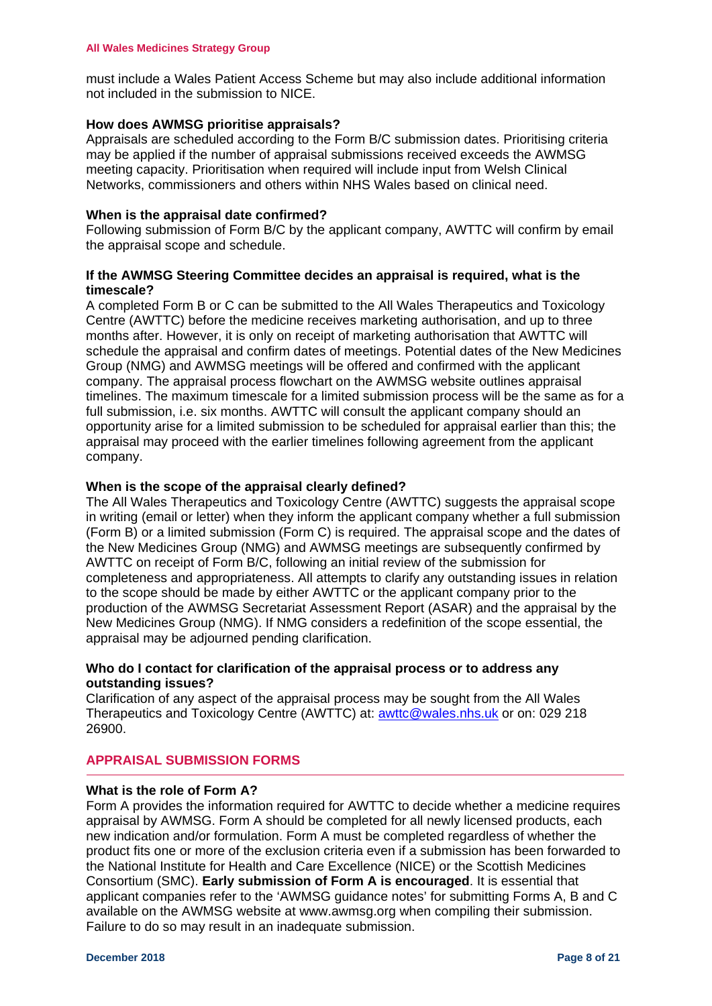must include a Wales Patient Access Scheme but may also include additional information not included in the submission to NICE.

## <span id="page-7-0"></span>**How does AWMSG prioritise appraisals?**

Appraisals are scheduled according to the Form B/C submission dates. Prioritising criteria may be applied if the number of appraisal submissions received exceeds the AWMSG meeting capacity. Prioritisation when required will include input from Welsh Clinical Networks, commissioners and others within NHS Wales based on clinical need.

## <span id="page-7-1"></span>**When is the appraisal date confirmed?**

Following submission of Form B/C by the applicant company, AWTTC will confirm by email the appraisal scope and schedule.

## <span id="page-7-2"></span>**If the AWMSG Steering Committee decides an appraisal is required, what is the timescale?**

A completed Form B or C can be submitted to the All Wales Therapeutics and Toxicology Centre (AWTTC) before the medicine receives marketing authorisation, and up to three months after. However, it is only on receipt of marketing authorisation that AWTTC will schedule the appraisal and confirm dates of meetings. Potential dates of the New Medicines Group (NMG) and AWMSG meetings will be offered and confirmed with the applicant company. The appraisal process flowchart on the AWMSG website outlines appraisal timelines. The maximum timescale for a limited submission process will be the same as for a full submission, i.e. six months. AWTTC will consult the applicant company should an opportunity arise for a limited submission to be scheduled for appraisal earlier than this; the appraisal may proceed with the earlier timelines following agreement from the applicant company.

## <span id="page-7-3"></span>**When is the scope of the appraisal clearly defined?**

The All Wales Therapeutics and Toxicology Centre (AWTTC) suggests the appraisal scope in writing (email or letter) when they inform the applicant company whether a full submission (Form B) or a limited submission (Form C) is required. The appraisal scope and the dates of the New Medicines Group (NMG) and AWMSG meetings are subsequently confirmed by AWTTC on receipt of Form B/C, following an initial review of the submission for completeness and appropriateness. All attempts to clarify any outstanding issues in relation to the scope should be made by either AWTTC or the applicant company prior to the production of the AWMSG Secretariat Assessment Report (ASAR) and the appraisal by the New Medicines Group (NMG). If NMG considers a redefinition of the scope essential, the appraisal may be adjourned pending clarification.

## <span id="page-7-4"></span>**Who do I contact for clarification of the appraisal process or to address any outstanding issues?**

Clarification of any aspect of the appraisal process may be sought from the All Wales Therapeutics and Toxicology Centre (AWTTC) at: [awttc@wales.nhs.uk](mailto:wmp@wales.nhs.uk) or on: 029 218 26900.

## <span id="page-7-5"></span>**APPRAISAL SUBMISSION FORMS**

## <span id="page-7-6"></span>**What is the role of Form A?**

Form A provides the information required for AWTTC to decide whether a medicine requires appraisal by AWMSG. Form A should be completed for all newly licensed products, each new indication and/or formulation. Form A must be completed regardless of whether the product fits one or more of the exclusion criteria even if a submission has been forwarded to the National Institute for Health and Care Excellence (NICE) or the Scottish Medicines Consortium (SMC). **Early submission of Form A is encouraged**. It is essential that applicant companies refer to the 'AWMSG guidance notes' for submitting Forms A, B and C available on the AWMSG website at www.awmsg.org when compiling their submission. Failure to do so may result in an inadequate submission.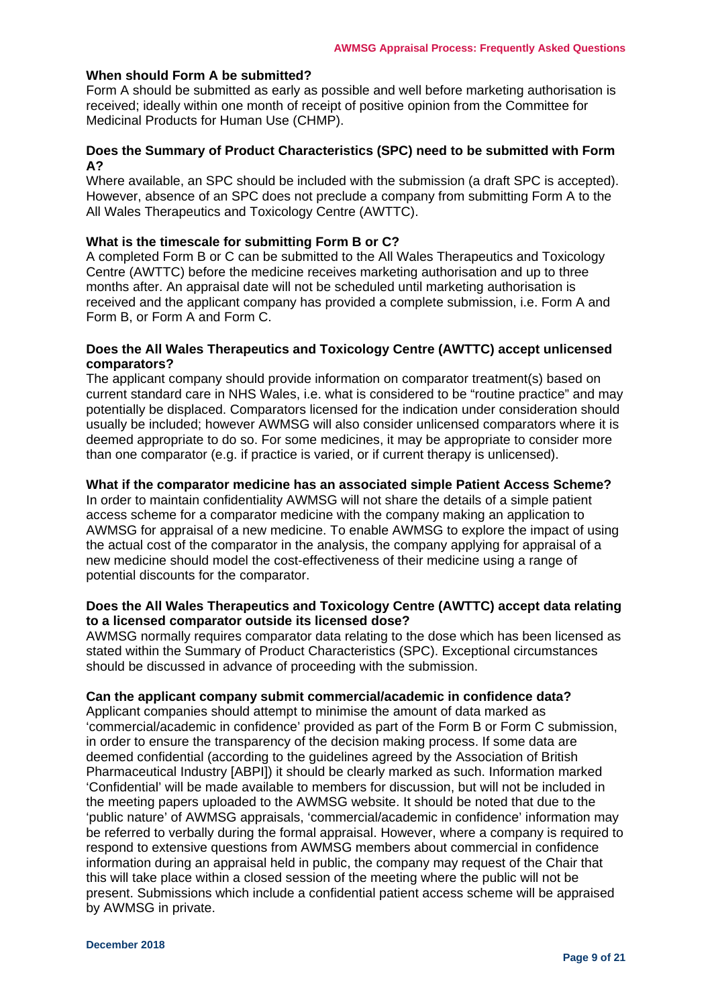## <span id="page-8-0"></span>**When should Form A be submitted?**

Form A should be submitted as early as possible and well before marketing authorisation is received; ideally within one month of receipt of positive opinion from the Committee for Medicinal Products for Human Use (CHMP).

## <span id="page-8-1"></span>**Does the Summary of Product Characteristics (SPC) need to be submitted with Form A?**

Where available, an SPC should be included with the submission (a draft SPC is accepted). However, absence of an SPC does not preclude a company from submitting Form A to the All Wales Therapeutics and Toxicology Centre (AWTTC).

### <span id="page-8-2"></span>**What is the timescale for submitting Form B or C?**

A completed Form B or C can be submitted to the All Wales Therapeutics and Toxicology Centre (AWTTC) before the medicine receives marketing authorisation and up to three months after. An appraisal date will not be scheduled until marketing authorisation is received and the applicant company has provided a complete submission, i.e. Form A and Form B, or Form A and Form C.

## <span id="page-8-3"></span>**Does the All Wales Therapeutics and Toxicology Centre (AWTTC) accept unlicensed comparators?**

The applicant company should provide information on comparator treatment(s) based on current standard care in NHS Wales, i.e. what is considered to be "routine practice" and may potentially be displaced. Comparators licensed for the indication under consideration should usually be included; however AWMSG will also consider unlicensed comparators where it is deemed appropriate to do so. For some medicines, it may be appropriate to consider more than one comparator (e.g. if practice is varied, or if current therapy is unlicensed).

#### <span id="page-8-4"></span>**What if the comparator medicine has an associated simple Patient Access Scheme?**

In order to maintain confidentiality AWMSG will not share the details of a simple patient access scheme for a comparator medicine with the company making an application to AWMSG for appraisal of a new medicine. To enable AWMSG to explore the impact of using the actual cost of the comparator in the analysis, the company applying for appraisal of a new medicine should model the cost-effectiveness of their medicine using a range of potential discounts for the comparator.

## <span id="page-8-5"></span>**Does the All Wales Therapeutics and Toxicology Centre (AWTTC) accept data relating to a licensed comparator outside its licensed dose?**

AWMSG normally requires comparator data relating to the dose which has been licensed as stated within the Summary of Product Characteristics (SPC). Exceptional circumstances should be discussed in advance of proceeding with the submission.

## <span id="page-8-6"></span>**Can the applicant company submit commercial/academic in confidence data?**

Applicant companies should attempt to minimise the amount of data marked as 'commercial/academic in confidence' provided as part of the Form B or Form C submission, in order to ensure the transparency of the decision making process. If some data are deemed confidential (according to the guidelines agreed by the Association of British Pharmaceutical Industry [ABPI]) it should be clearly marked as such. Information marked 'Confidential' will be made available to members for discussion, but will not be included in the meeting papers uploaded to the AWMSG website. It should be noted that due to the 'public nature' of AWMSG appraisals, 'commercial/academic in confidence' information may be referred to verbally during the formal appraisal. However, where a company is required to respond to extensive questions from AWMSG members about commercial in confidence information during an appraisal held in public, the company may request of the Chair that this will take place within a closed session of the meeting where the public will not be present. Submissions which include a confidential patient access scheme will be appraised by AWMSG in private.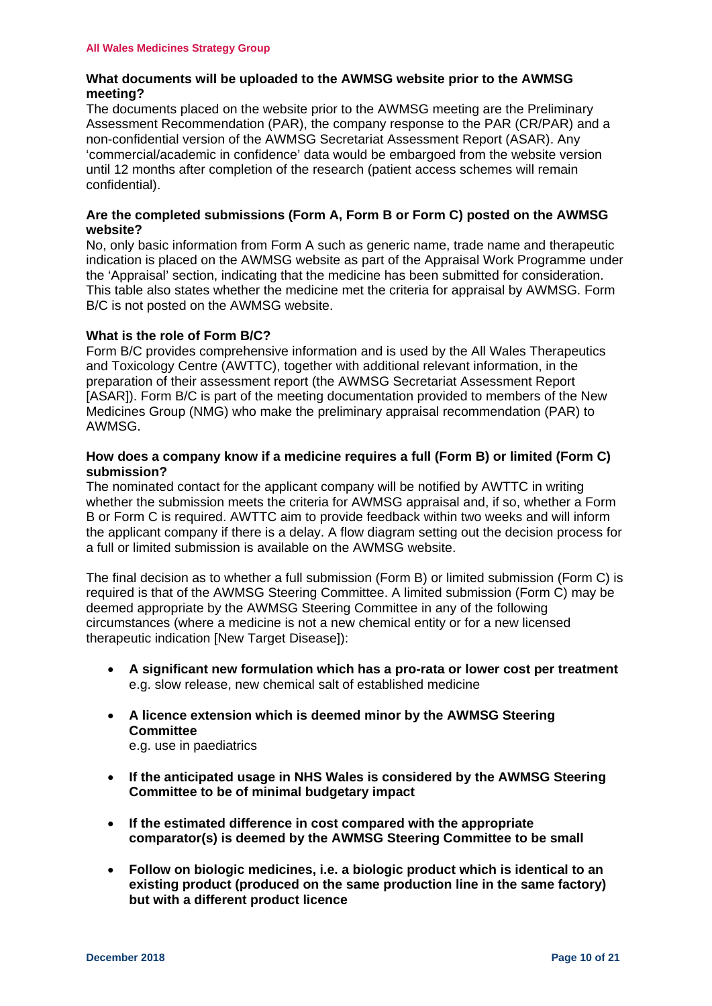## <span id="page-9-0"></span>**What documents will be uploaded to the AWMSG website prior to the AWMSG meeting?**

The documents placed on the website prior to the AWMSG meeting are the Preliminary Assessment Recommendation (PAR), the company response to the PAR (CR/PAR) and a non-confidential version of the AWMSG Secretariat Assessment Report (ASAR). Any 'commercial/academic in confidence' data would be embargoed from the website version until 12 months after completion of the research (patient access schemes will remain confidential).

## <span id="page-9-1"></span>**Are the completed submissions (Form A, Form B or Form C) posted on the AWMSG website?**

No, only basic information from Form A such as generic name, trade name and therapeutic indication is placed on the AWMSG website as part of the Appraisal Work Programme under the 'Appraisal' section, indicating that the medicine has been submitted for consideration. This table also states whether the medicine met the criteria for appraisal by AWMSG. Form B/C is not posted on the AWMSG website.

## <span id="page-9-2"></span>**What is the role of Form B/C?**

Form B/C provides comprehensive information and is used by the All Wales Therapeutics and Toxicology Centre (AWTTC), together with additional relevant information, in the preparation of their assessment report (the AWMSG Secretariat Assessment Report [ASAR]). Form B/C is part of the meeting documentation provided to members of the New Medicines Group (NMG) who make the preliminary appraisal recommendation (PAR) to AWMSG.

## <span id="page-9-3"></span>**How does a company know if a medicine requires a full (Form B) or limited (Form C) submission?**

The nominated contact for the applicant company will be notified by AWTTC in writing whether the submission meets the criteria for AWMSG appraisal and, if so, whether a Form B or Form C is required. AWTTC aim to provide feedback within two weeks and will inform the applicant company if there is a delay. A flow diagram setting out the decision process for a full or limited submission is available on the AWMSG website.

The final decision as to whether a full submission (Form B) or limited submission (Form C) is required is that of the AWMSG Steering Committee. A limited submission (Form C) may be deemed appropriate by the AWMSG Steering Committee in any of the following circumstances (where a medicine is not a new chemical entity or for a new licensed therapeutic indication [New Target Disease]):

- **A significant new formulation which has a pro-rata or lower cost per treatment** e.g. slow release, new chemical salt of established medicine
- **A licence extension which is deemed minor by the AWMSG Steering Committee** e.g. use in paediatrics
- **If the anticipated usage in NHS Wales is considered by the AWMSG Steering Committee to be of minimal budgetary impact**
- **If the estimated difference in cost compared with the appropriate comparator(s) is deemed by the AWMSG Steering Committee to be small**
- **Follow on biologic medicines, i.e. a biologic product which is identical to an existing product (produced on the same production line in the same factory) but with a different product licence**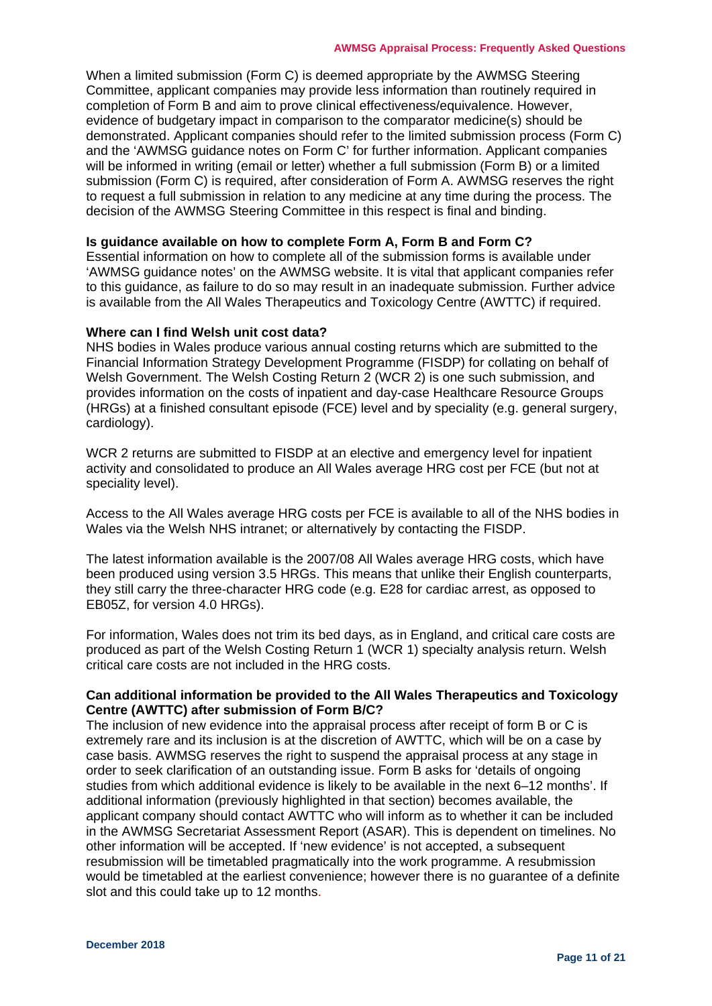When a limited submission (Form C) is deemed appropriate by the AWMSG Steering Committee, applicant companies may provide less information than routinely required in completion of Form B and aim to prove clinical effectiveness/equivalence. However, evidence of budgetary impact in comparison to the comparator medicine(s) should be demonstrated. Applicant companies should refer to the limited submission process (Form C) and the 'AWMSG guidance notes on Form C' for further information. Applicant companies will be informed in writing (email or letter) whether a full submission (Form B) or a limited submission (Form C) is required, after consideration of Form A. AWMSG reserves the right to request a full submission in relation to any medicine at any time during the process. The decision of the AWMSG Steering Committee in this respect is final and binding.

### <span id="page-10-0"></span>**Is guidance available on how to complete Form A, Form B and Form C?**

Essential information on how to complete all of the submission forms is available under 'AWMSG guidance notes' on the AWMSG website. It is vital that applicant companies refer to this guidance, as failure to do so may result in an inadequate submission. Further advice is available from the All Wales Therapeutics and Toxicology Centre (AWTTC) if required.

#### <span id="page-10-1"></span>**Where can I find Welsh unit cost data?**

NHS bodies in Wales produce various annual costing returns which are submitted to the Financial Information Strategy Development Programme (FISDP) for collating on behalf of Welsh Government. The Welsh Costing Return 2 (WCR 2) is one such submission, and provides information on the costs of inpatient and day-case Healthcare Resource Groups (HRGs) at a finished consultant episode (FCE) level and by speciality (e.g. general surgery, cardiology).

WCR 2 returns are submitted to FISDP at an elective and emergency level for inpatient activity and consolidated to produce an All Wales average HRG cost per FCE (but not at speciality level).

Access to the All Wales average HRG costs per FCE is available to all of the NHS bodies in Wales via the Welsh NHS intranet; or alternatively by contacting the FISDP.

The latest information available is the 2007/08 All Wales average HRG costs, which have been produced using version 3.5 HRGs. This means that unlike their English counterparts, they still carry the three-character HRG code (e.g. E28 for cardiac arrest, as opposed to EB05Z, for version 4.0 HRGs).

For information, Wales does not trim its bed days, as in England, and critical care costs are produced as part of the Welsh Costing Return 1 (WCR 1) specialty analysis return. Welsh critical care costs are not included in the HRG costs.

## <span id="page-10-2"></span>**Can additional information be provided to the All Wales Therapeutics and Toxicology Centre (AWTTC) after submission of Form B/C?**

The inclusion of new evidence into the appraisal process after receipt of form B or C is extremely rare and its inclusion is at the discretion of AWTTC, which will be on a case by case basis. AWMSG reserves the right to suspend the appraisal process at any stage in order to seek clarification of an outstanding issue. Form B asks for 'details of ongoing studies from which additional evidence is likely to be available in the next 6–12 months'. If additional information (previously highlighted in that section) becomes available, the applicant company should contact AWTTC who will inform as to whether it can be included in the AWMSG Secretariat Assessment Report (ASAR). This is dependent on timelines. No other information will be accepted. If 'new evidence' is not accepted, a subsequent resubmission will be timetabled pragmatically into the work programme. A resubmission would be timetabled at the earliest convenience; however there is no guarantee of a definite slot and this could take up to 12 months.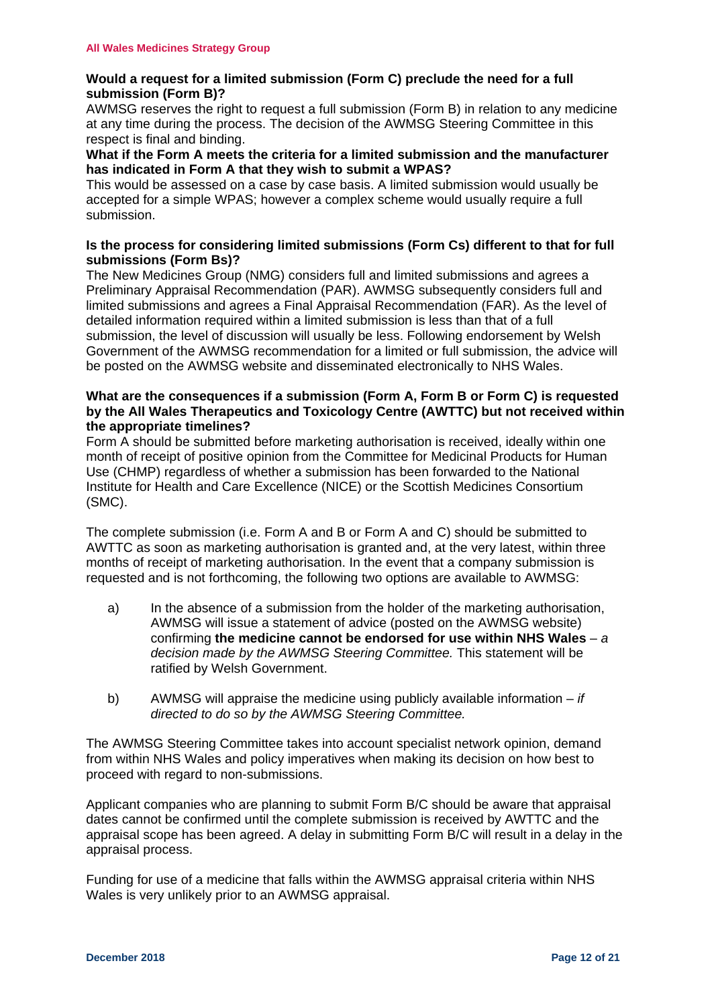## <span id="page-11-0"></span>**Would a request for a limited submission (Form C) preclude the need for a full submission (Form B)?**

AWMSG reserves the right to request a full submission (Form B) in relation to any medicine at any time during the process. The decision of the AWMSG Steering Committee in this respect is final and binding.

## <span id="page-11-1"></span>**What if the Form A meets the criteria for a limited submission and the manufacturer has indicated in Form A that they wish to submit a WPAS?**

This would be assessed on a case by case basis. A limited submission would usually be accepted for a simple WPAS; however a complex scheme would usually require a full submission.

## <span id="page-11-2"></span>**Is the process for considering limited submissions (Form Cs) different to that for full submissions (Form Bs)?**

The New Medicines Group (NMG) considers full and limited submissions and agrees a Preliminary Appraisal Recommendation (PAR). AWMSG subsequently considers full and limited submissions and agrees a Final Appraisal Recommendation (FAR). As the level of detailed information required within a limited submission is less than that of a full submission, the level of discussion will usually be less. Following endorsement by Welsh Government of the AWMSG recommendation for a limited or full submission, the advice will be posted on the AWMSG website and disseminated electronically to NHS Wales.

## <span id="page-11-3"></span>**What are the consequences if a submission (Form A, Form B or Form C) is requested by the All Wales Therapeutics and Toxicology Centre (AWTTC) but not received within the appropriate timelines?**

Form A should be submitted before marketing authorisation is received, ideally within one month of receipt of positive opinion from the Committee for Medicinal Products for Human Use (CHMP) regardless of whether a submission has been forwarded to the National Institute for Health and Care Excellence (NICE) or the Scottish Medicines Consortium (SMC).

The complete submission (i.e. Form A and B or Form A and C) should be submitted to AWTTC as soon as marketing authorisation is granted and, at the very latest, within three months of receipt of marketing authorisation. In the event that a company submission is requested and is not forthcoming, the following two options are available to AWMSG:

- a) In the absence of a submission from the holder of the marketing authorisation, AWMSG will issue a statement of advice (posted on the AWMSG website) confirming **the medicine cannot be endorsed for use within NHS Wales** – *a decision made by the AWMSG Steering Committee.* This statement will be ratified by Welsh Government.
- b) AWMSG will appraise the medicine using publicly available information *if directed to do so by the AWMSG Steering Committee.*

The AWMSG Steering Committee takes into account specialist network opinion, demand from within NHS Wales and policy imperatives when making its decision on how best to proceed with regard to non-submissions.

Applicant companies who are planning to submit Form B/C should be aware that appraisal dates cannot be confirmed until the complete submission is received by AWTTC and the appraisal scope has been agreed. A delay in submitting Form B/C will result in a delay in the appraisal process.

Funding for use of a medicine that falls within the AWMSG appraisal criteria within NHS Wales is very unlikely prior to an AWMSG appraisal.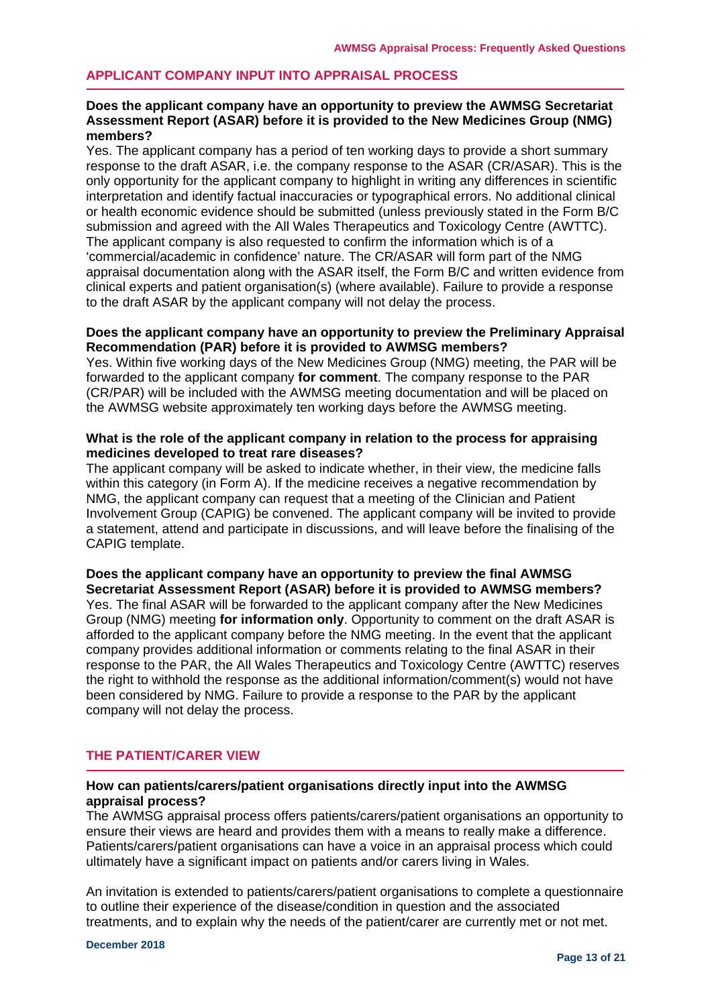## <span id="page-12-0"></span>**APPLICANT COMPANY INPUT INTO APPRAISAL PROCESS**

## <span id="page-12-1"></span>**Does the applicant company have an opportunity to preview the AWMSG Secretariat Assessment Report (ASAR) before it is provided to the New Medicines Group (NMG) members?**

Yes. The applicant company has a period of ten working days to provide a short summary response to the draft ASAR, i.e. the company response to the ASAR (CR/ASAR). This is the only opportunity for the applicant company to highlight in writing any differences in scientific interpretation and identify factual inaccuracies or typographical errors. No additional clinical or health economic evidence should be submitted (unless previously stated in the Form B/C submission and agreed with the All Wales Therapeutics and Toxicology Centre (AWTTC). The applicant company is also requested to confirm the information which is of a 'commercial/academic in confidence' nature. The CR/ASAR will form part of the NMG appraisal documentation along with the ASAR itself, the Form B/C and written evidence from clinical experts and patient organisation(s) (where available). Failure to provide a response to the draft ASAR by the applicant company will not delay the process.

### <span id="page-12-2"></span>**Does the applicant company have an opportunity to preview the Preliminary Appraisal Recommendation (PAR) before it is provided to AWMSG members?**

Yes. Within five working days of the New Medicines Group (NMG) meeting, the PAR will be forwarded to the applicant company **for comment**. The company response to the PAR (CR/PAR) will be included with the AWMSG meeting documentation and will be placed on the AWMSG website approximately ten working days before the AWMSG meeting.

### <span id="page-12-3"></span>**What is the role of the applicant company in relation to the process for appraising medicines developed to treat rare diseases?**

The applicant company will be asked to indicate whether, in their view, the medicine falls within this category (in Form A). If the medicine receives a negative recommendation by NMG, the applicant company can request that a meeting of the Clinician and Patient Involvement Group (CAPIG) be convened. The applicant company will be invited to provide a statement, attend and participate in discussions, and will leave before the finalising of the CAPIG template.

#### <span id="page-12-4"></span>**Does the applicant company have an opportunity to preview the final AWMSG Secretariat Assessment Report (ASAR) before it is provided to AWMSG members?**

Yes. The final ASAR will be forwarded to the applicant company after the New Medicines Group (NMG) meeting **for information only**. Opportunity to comment on the draft ASAR is afforded to the applicant company before the NMG meeting. In the event that the applicant company provides additional information or comments relating to the final ASAR in their response to the PAR, the All Wales Therapeutics and Toxicology Centre (AWTTC) reserves the right to withhold the response as the additional information/comment(s) would not have been considered by NMG. Failure to provide a response to the PAR by the applicant company will not delay the process.

## <span id="page-12-5"></span>**THE PATIENT/CARER VIEW**

## <span id="page-12-6"></span>**How can patients/carers/patient organisations directly input into the AWMSG appraisal process?**

The AWMSG appraisal process offers patients/carers/patient organisations an opportunity to ensure their views are heard and provides them with a means to really make a difference. Patients/carers/patient organisations can have a voice in an appraisal process which could ultimately have a significant impact on patients and/or carers living in Wales.

An invitation is extended to patients/carers/patient organisations to complete a questionnaire to outline their experience of the disease/condition in question and the associated treatments, and to explain why the needs of the patient/carer are currently met or not met.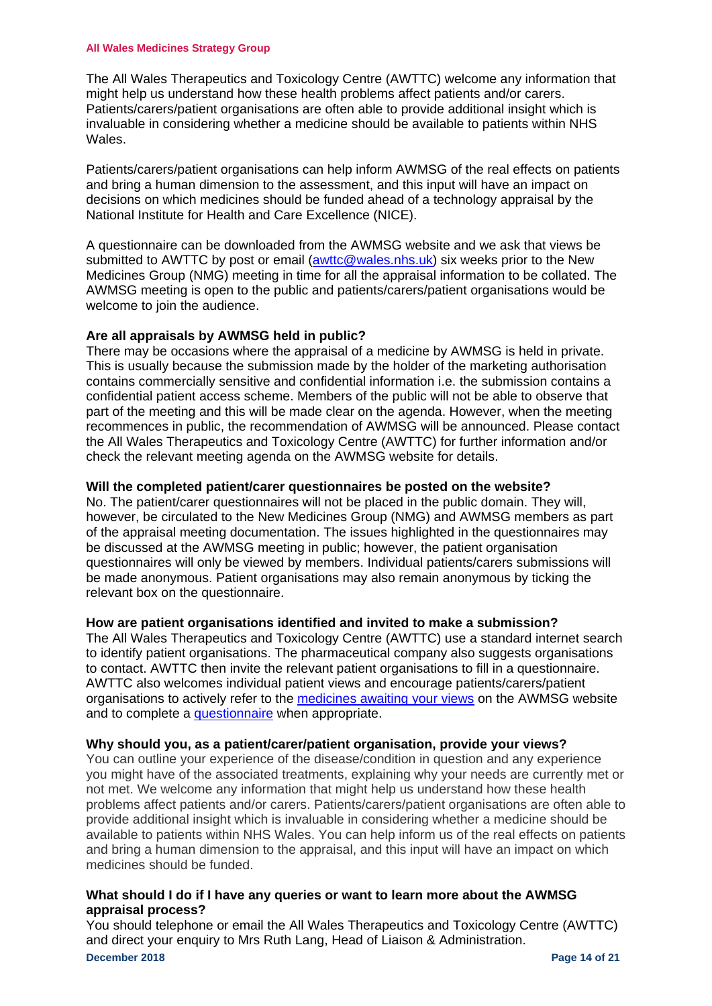#### **All Wales Medicines Strategy Group**

The All Wales Therapeutics and Toxicology Centre (AWTTC) welcome any information that might help us understand how these health problems affect patients and/or carers. Patients/carers/patient organisations are often able to provide additional insight which is invaluable in considering whether a medicine should be available to patients within NHS Wales.

Patients/carers/patient organisations can help inform AWMSG of the real effects on patients and bring a human dimension to the assessment, and this input will have an impact on decisions on which medicines should be funded ahead of a technology appraisal by the National Institute for Health and Care Excellence (NICE).

A questionnaire can be downloaded from the AWMSG website and we ask that views be submitted to AWTTC by post or email [\(awttc@wales.nhs.uk\)](mailto:wmp@wales.nhs.uk) six weeks prior to the New Medicines Group (NMG) meeting in time for all the appraisal information to be collated. The AWMSG meeting is open to the public and patients/carers/patient organisations would be welcome to join the audience.

## <span id="page-13-0"></span>**Are all appraisals by AWMSG held in public?**

There may be occasions where the appraisal of a medicine by AWMSG is held in private. This is usually because the submission made by the holder of the marketing authorisation contains commercially sensitive and confidential information i.e. the submission contains a confidential patient access scheme. Members of the public will not be able to observe that part of the meeting and this will be made clear on the agenda. However, when the meeting recommences in public, the recommendation of AWMSG will be announced. Please contact the All Wales Therapeutics and Toxicology Centre (AWTTC) for further information and/or check the relevant meeting agenda on the AWMSG website for details.

## <span id="page-13-1"></span>**Will the completed patient/carer questionnaires be posted on the website?**

No. The patient/carer questionnaires will not be placed in the public domain. They will, however, be circulated to the New Medicines Group (NMG) and AWMSG members as part of the appraisal meeting documentation. The issues highlighted in the questionnaires may be discussed at the AWMSG meeting in public; however, the patient organisation questionnaires will only be viewed by members. Individual patients/carers submissions will be made anonymous. Patient organisations may also remain anonymous by ticking the relevant box on the questionnaire.

## <span id="page-13-2"></span>**How are patient organisations identified and invited to make a submission?**

The All Wales Therapeutics and Toxicology Centre (AWTTC) use a standard internet search to identify patient organisations. The pharmaceutical company also suggests organisations to contact. AWTTC then invite the relevant patient organisations to fill in a questionnaire. AWTTC also welcomes individual patient views and encourage patients/carers/patient organisations to actively refer to the [medicines awaiting your views](http://www.awmsg.org/awmsgonline/app/patientquest) on the AWMSG website and to complete a [questionnaire](http://www.awmsg.org/docs/awmsg/appraisaldocs/inforandforms/Patient%20Carer%20Patient%20Organisation%20questionnaire.doc) when appropriate.

## <span id="page-13-3"></span>**Why should you, as a patient/carer/patient organisation, provide your views?**

You can outline your experience of the disease/condition in question and any experience you might have of the associated treatments, explaining why your needs are currently met or not met. We welcome any information that might help us understand how these health problems affect patients and/or carers. Patients/carers/patient organisations are often able to provide additional insight which is invaluable in considering whether a medicine should be available to patients within NHS Wales. You can help inform us of the real effects on patients and bring a human dimension to the appraisal, and this input will have an impact on which medicines should be funded.

## <span id="page-13-4"></span>**What should I do if I have any queries or want to learn more about the AWMSG appraisal process?**

**December 2018 Page 14 of 21** You should telephone or email the All Wales Therapeutics and Toxicology Centre (AWTTC) and direct your enquiry to Mrs Ruth Lang, Head of Liaison & Administration.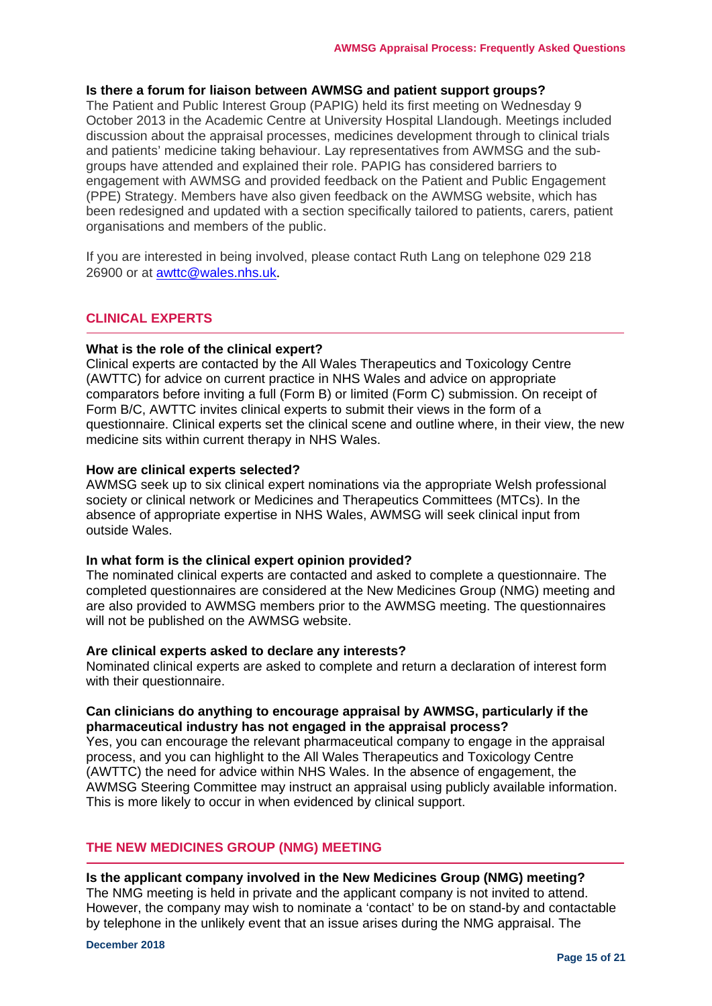## <span id="page-14-0"></span>**Is there a forum for liaison between AWMSG and patient support groups?**

The Patient and Public Interest Group (PAPIG) held its first meeting on Wednesday 9 October 2013 in the Academic Centre at University Hospital Llandough. Meetings included discussion about the appraisal processes, medicines development through to clinical trials and patients' medicine taking behaviour. Lay representatives from AWMSG and the subgroups have attended and explained their role. PAPIG has considered barriers to engagement with AWMSG and provided feedback on the Patient and Public Engagement (PPE) Strategy. Members have also given feedback on the AWMSG website, which has been redesigned and updated with a section specifically tailored to patients, carers, patient organisations and members of the public.

If you are interested in being involved, please contact Ruth Lang on telephone 029 218 26900 or at [awttc@wales.nhs.uk](mailto:awttc@wales.nhs.uk).

## <span id="page-14-1"></span>**CLINICAL EXPERTS**

#### <span id="page-14-2"></span>**What is the role of the clinical expert?**

Clinical experts are contacted by the All Wales Therapeutics and Toxicology Centre (AWTTC) for advice on current practice in NHS Wales and advice on appropriate comparators before inviting a full (Form B) or limited (Form C) submission. On receipt of Form B/C, AWTTC invites clinical experts to submit their views in the form of a questionnaire. Clinical experts set the clinical scene and outline where, in their view, the new medicine sits within current therapy in NHS Wales.

#### <span id="page-14-3"></span>**How are clinical experts selected?**

AWMSG seek up to six clinical expert nominations via the appropriate Welsh professional society or clinical network or Medicines and Therapeutics Committees (MTCs). In the absence of appropriate expertise in NHS Wales, AWMSG will seek clinical input from outside Wales.

#### <span id="page-14-4"></span>**In what form is the clinical expert opinion provided?**

The nominated clinical experts are contacted and asked to complete a questionnaire. The completed questionnaires are considered at the New Medicines Group (NMG) meeting and are also provided to AWMSG members prior to the AWMSG meeting. The questionnaires will not be published on the AWMSG website.

#### <span id="page-14-5"></span>**Are clinical experts asked to declare any interests?**

Nominated clinical experts are asked to complete and return a declaration of interest form with their questionnaire.

## <span id="page-14-6"></span>**Can clinicians do anything to encourage appraisal by AWMSG, particularly if the pharmaceutical industry has not engaged in the appraisal process?**

Yes, you can encourage the relevant pharmaceutical company to engage in the appraisal process, and you can highlight to the All Wales Therapeutics and Toxicology Centre (AWTTC) the need for advice within NHS Wales. In the absence of engagement, the AWMSG Steering Committee may instruct an appraisal using publicly available information. This is more likely to occur in when evidenced by clinical support.

## <span id="page-14-7"></span>**THE NEW MEDICINES GROUP (NMG) MEETING**

#### <span id="page-14-8"></span>**Is the applicant company involved in the New Medicines Group (NMG) meeting?**

The NMG meeting is held in private and the applicant company is not invited to attend. However, the company may wish to nominate a 'contact' to be on stand-by and contactable by telephone in the unlikely event that an issue arises during the NMG appraisal. The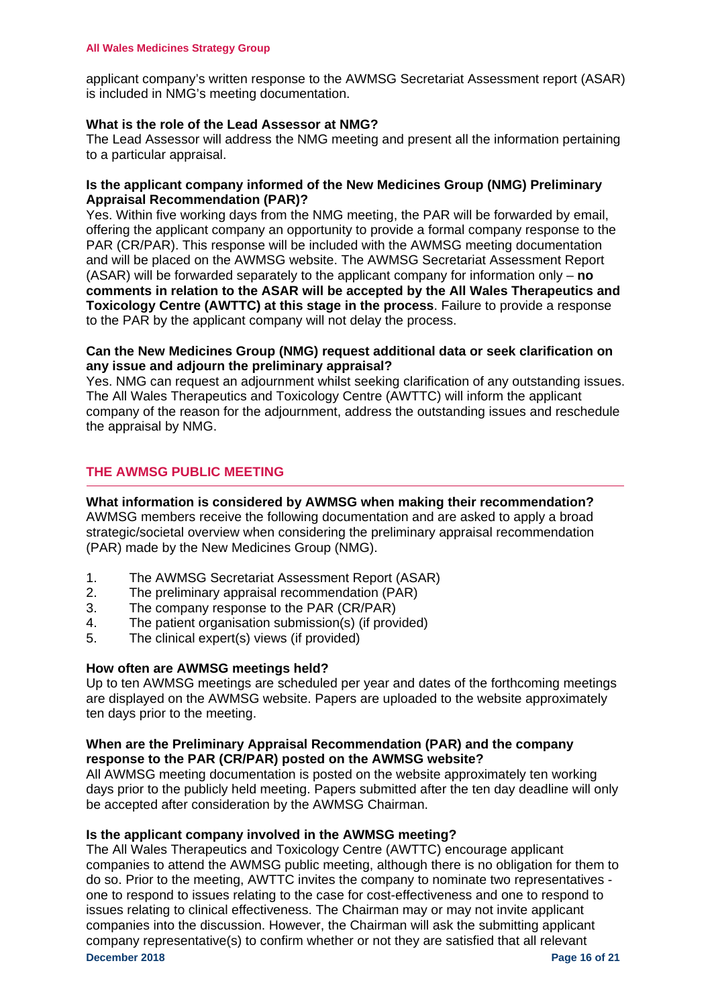applicant company's written response to the AWMSG Secretariat Assessment report (ASAR) is included in NMG's meeting documentation.

## <span id="page-15-0"></span>**What is the role of the Lead Assessor at NMG?**

The Lead Assessor will address the NMG meeting and present all the information pertaining to a particular appraisal.

## <span id="page-15-1"></span>**Is the applicant company informed of the New Medicines Group (NMG) Preliminary Appraisal Recommendation (PAR)?**

Yes. Within five working days from the NMG meeting, the PAR will be forwarded by email, offering the applicant company an opportunity to provide a formal company response to the PAR (CR/PAR). This response will be included with the AWMSG meeting documentation and will be placed on the AWMSG website. The AWMSG Secretariat Assessment Report (ASAR) will be forwarded separately to the applicant company for information only – **no comments in relation to the ASAR will be accepted by the All Wales Therapeutics and Toxicology Centre (AWTTC) at this stage in the process**. Failure to provide a response to the PAR by the applicant company will not delay the process.

## <span id="page-15-2"></span>**Can the New Medicines Group (NMG) request additional data or seek clarification on any issue and adjourn the preliminary appraisal?**

Yes. NMG can request an adjournment whilst seeking clarification of any outstanding issues. The All Wales Therapeutics and Toxicology Centre (AWTTC) will inform the applicant company of the reason for the adjournment, address the outstanding issues and reschedule the appraisal by NMG.

## <span id="page-15-3"></span>**THE AWMSG PUBLIC MEETING**

<span id="page-15-4"></span>**What information is considered by AWMSG when making their recommendation?** AWMSG members receive the following documentation and are asked to apply a broad strategic/societal overview when considering the preliminary appraisal recommendation (PAR) made by the New Medicines Group (NMG).

- 1. The AWMSG Secretariat Assessment Report (ASAR)
- 2. The preliminary appraisal recommendation (PAR)
- 3. The company response to the PAR (CR/PAR)
- 4. The patient organisation submission(s) (if provided)
- 5. The clinical expert(s) views (if provided)

## <span id="page-15-5"></span>**How often are AWMSG meetings held?**

Up to ten AWMSG meetings are scheduled per year and dates of the forthcoming meetings are displayed on the AWMSG website. Papers are uploaded to the website approximately ten days prior to the meeting.

## <span id="page-15-6"></span>**When are the Preliminary Appraisal Recommendation (PAR) and the company response to the PAR (CR/PAR) posted on the AWMSG website?**

All AWMSG meeting documentation is posted on the website approximately ten working days prior to the publicly held meeting. Papers submitted after the ten day deadline will only be accepted after consideration by the AWMSG Chairman.

## <span id="page-15-7"></span>**Is the applicant company involved in the AWMSG meeting?**

**December 2018 Page 16** of 21 The All Wales Therapeutics and Toxicology Centre (AWTTC) encourage applicant companies to attend the AWMSG public meeting, although there is no obligation for them to do so. Prior to the meeting, AWTTC invites the company to nominate two representatives one to respond to issues relating to the case for cost-effectiveness and one to respond to issues relating to clinical effectiveness. The Chairman may or may not invite applicant companies into the discussion. However, the Chairman will ask the submitting applicant company representative(s) to confirm whether or not they are satisfied that all relevant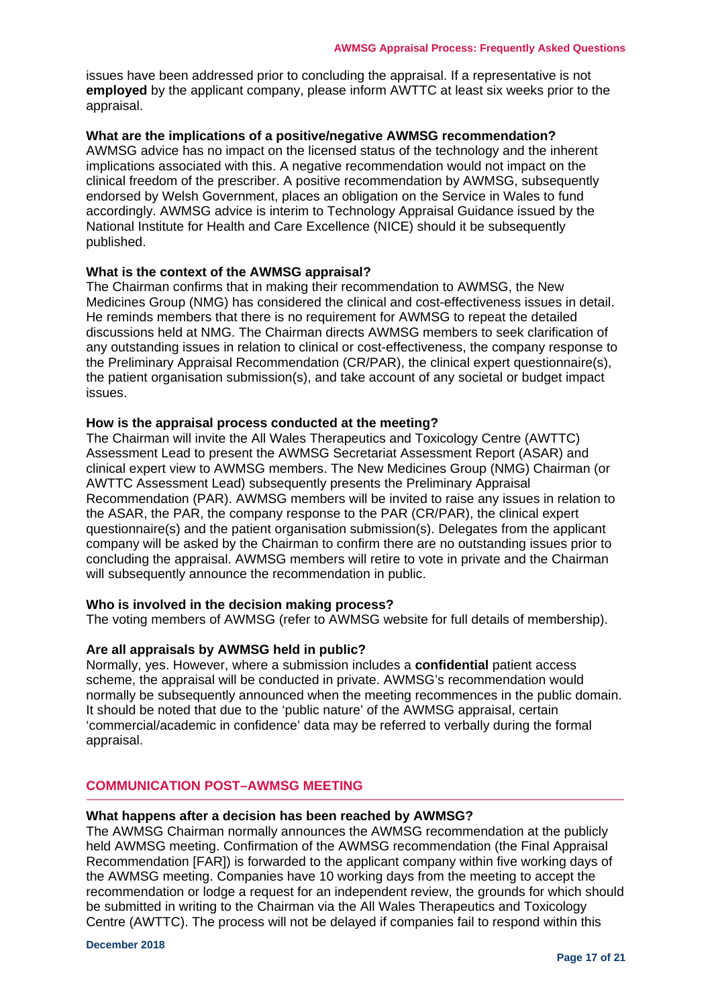issues have been addressed prior to concluding the appraisal. If a representative is not **employed** by the applicant company, please inform AWTTC at least six weeks prior to the appraisal.

## <span id="page-16-0"></span>**What are the implications of a positive/negative AWMSG recommendation?**

AWMSG advice has no impact on the licensed status of the technology and the inherent implications associated with this. A negative recommendation would not impact on the clinical freedom of the prescriber. A positive recommendation by AWMSG, subsequently endorsed by Welsh Government, places an obligation on the Service in Wales to fund accordingly. AWMSG advice is interim to Technology Appraisal Guidance issued by the National Institute for Health and Care Excellence (NICE) should it be subsequently published.

#### <span id="page-16-1"></span>**What is the context of the AWMSG appraisal?**

The Chairman confirms that in making their recommendation to AWMSG, the New Medicines Group (NMG) has considered the clinical and cost-effectiveness issues in detail. He reminds members that there is no requirement for AWMSG to repeat the detailed discussions held at NMG. The Chairman directs AWMSG members to seek clarification of any outstanding issues in relation to clinical or cost-effectiveness, the company response to the Preliminary Appraisal Recommendation (CR/PAR), the clinical expert questionnaire(s), the patient organisation submission(s), and take account of any societal or budget impact issues.

## <span id="page-16-2"></span>**How is the appraisal process conducted at the meeting?**

The Chairman will invite the All Wales Therapeutics and Toxicology Centre (AWTTC) Assessment Lead to present the AWMSG Secretariat Assessment Report (ASAR) and clinical expert view to AWMSG members. The New Medicines Group (NMG) Chairman (or AWTTC Assessment Lead) subsequently presents the Preliminary Appraisal Recommendation (PAR). AWMSG members will be invited to raise any issues in relation to the ASAR, the PAR, the company response to the PAR (CR/PAR), the clinical expert questionnaire(s) and the patient organisation submission(s). Delegates from the applicant company will be asked by the Chairman to confirm there are no outstanding issues prior to concluding the appraisal. AWMSG members will retire to vote in private and the Chairman will subsequently announce the recommendation in public.

## <span id="page-16-3"></span>**Who is involved in the decision making process?**

The voting members of AWMSG (refer to AWMSG website for full details of membership).

## <span id="page-16-4"></span>**Are all appraisals by AWMSG held in public?**

Normally, yes. However, where a submission includes a **confidential** patient access scheme, the appraisal will be conducted in private. AWMSG's recommendation would normally be subsequently announced when the meeting recommences in the public domain. It should be noted that due to the 'public nature' of the AWMSG appraisal, certain 'commercial/academic in confidence' data may be referred to verbally during the formal appraisal.

## <span id="page-16-5"></span>**COMMUNICATION POST–AWMSG MEETING**

#### <span id="page-16-6"></span>**What happens after a decision has been reached by AWMSG?**

The AWMSG Chairman normally announces the AWMSG recommendation at the publicly held AWMSG meeting. Confirmation of the AWMSG recommendation (the Final Appraisal Recommendation [FAR]) is forwarded to the applicant company within five working days of the AWMSG meeting. Companies have 10 working days from the meeting to accept the recommendation or lodge a request for an independent review, the grounds for which should be submitted in writing to the Chairman via the All Wales Therapeutics and Toxicology Centre (AWTTC). The process will not be delayed if companies fail to respond within this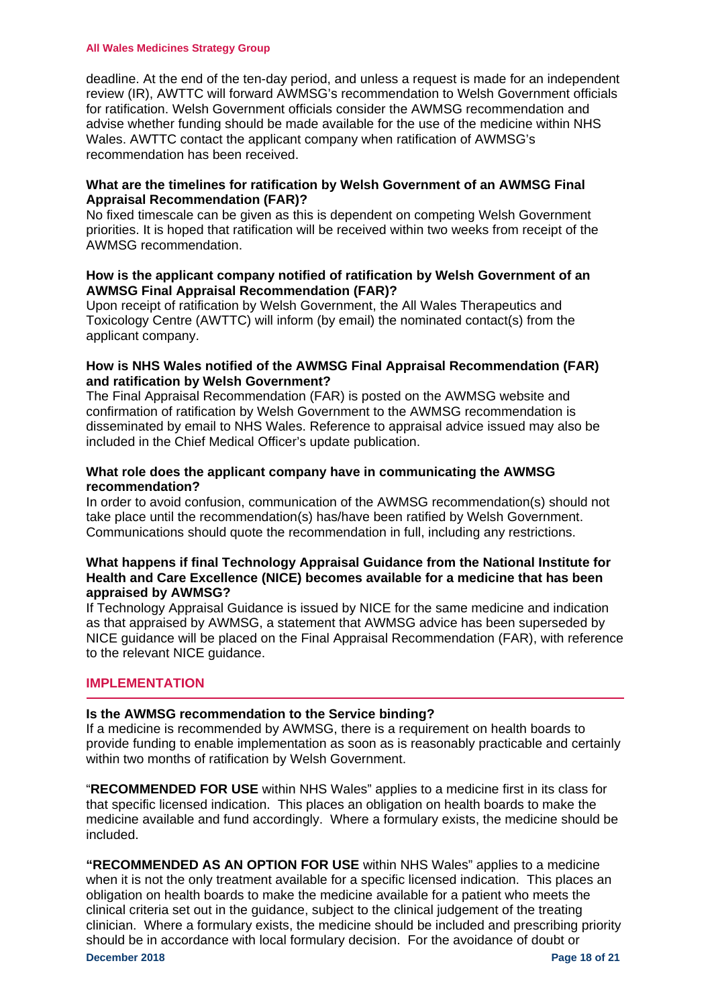#### **All Wales Medicines Strategy Group**

deadline. At the end of the ten-day period, and unless a request is made for an independent review (IR), AWTTC will forward AWMSG's recommendation to Welsh Government officials for ratification. Welsh Government officials consider the AWMSG recommendation and advise whether funding should be made available for the use of the medicine within NHS Wales. AWTTC contact the applicant company when ratification of AWMSG's recommendation has been received.

## <span id="page-17-0"></span>**What are the timelines for ratification by Welsh Government of an AWMSG Final Appraisal Recommendation (FAR)?**

No fixed timescale can be given as this is dependent on competing Welsh Government priorities. It is hoped that ratification will be received within two weeks from receipt of the AWMSG recommendation.

## <span id="page-17-1"></span>**How is the applicant company notified of ratification by Welsh Government of an AWMSG Final Appraisal Recommendation (FAR)?**

Upon receipt of ratification by Welsh Government, the All Wales Therapeutics and Toxicology Centre (AWTTC) will inform (by email) the nominated contact(s) from the applicant company.

## <span id="page-17-2"></span>**How is NHS Wales notified of the AWMSG Final Appraisal Recommendation (FAR) and ratification by Welsh Government?**

The Final Appraisal Recommendation (FAR) is posted on the AWMSG website and confirmation of ratification by Welsh Government to the AWMSG recommendation is disseminated by email to NHS Wales. Reference to appraisal advice issued may also be included in the Chief Medical Officer's update publication.

## <span id="page-17-3"></span>**What role does the applicant company have in communicating the AWMSG recommendation?**

In order to avoid confusion, communication of the AWMSG recommendation(s) should not take place until the recommendation(s) has/have been ratified by Welsh Government. Communications should quote the recommendation in full, including any restrictions.

## <span id="page-17-4"></span>**What happens if final Technology Appraisal Guidance from the National Institute for Health and Care Excellence (NICE) becomes available for a medicine that has been appraised by AWMSG?**

If Technology Appraisal Guidance is issued by NICE for the same medicine and indication as that appraised by AWMSG, a statement that AWMSG advice has been superseded by NICE guidance will be placed on the Final Appraisal Recommendation (FAR), with reference to the relevant NICE guidance.

## <span id="page-17-5"></span>**IMPLEMENTATION**

## <span id="page-17-6"></span>**Is the AWMSG recommendation to the Service binding?**

If a medicine is recommended by AWMSG, there is a requirement on health boards to provide funding to enable implementation as soon as is reasonably practicable and certainly within two months of ratification by Welsh Government.

"**RECOMMENDED FOR USE** within NHS Wales" applies to a medicine first in its class for that specific licensed indication. This places an obligation on health boards to make the medicine available and fund accordingly. Where a formulary exists, the medicine should be included.

**December 2018 Page 18 of 21 "RECOMMENDED AS AN OPTION FOR USE** within NHS Wales" applies to a medicine when it is not the only treatment available for a specific licensed indication. This places an obligation on health boards to make the medicine available for a patient who meets the clinical criteria set out in the guidance, subject to the clinical judgement of the treating clinician. Where a formulary exists, the medicine should be included and prescribing priority should be in accordance with local formulary decision. For the avoidance of doubt or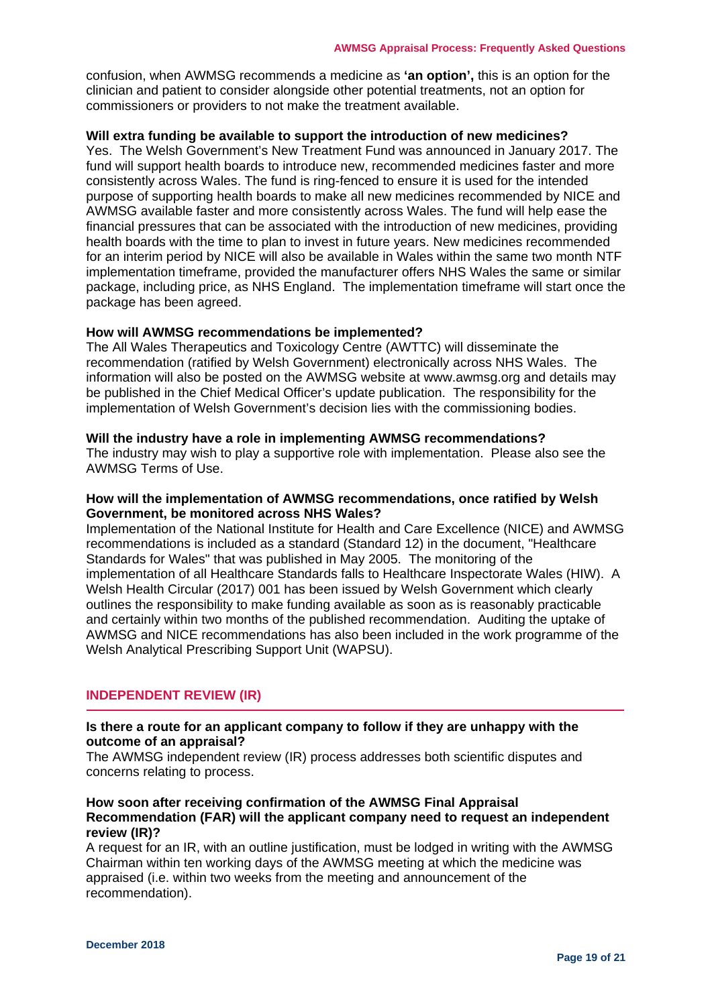confusion, when AWMSG recommends a medicine as **'an option',** this is an option for the clinician and patient to consider alongside other potential treatments, not an option for commissioners or providers to not make the treatment available.

## <span id="page-18-0"></span>**Will extra funding be available to support the introduction of new medicines?**

Yes. The Welsh Government's New Treatment Fund was announced in January 2017. The fund will support health boards to introduce new, recommended medicines faster and more consistently across Wales. The fund is ring-fenced to ensure it is used for the intended purpose of supporting health boards to make all new medicines recommended by NICE and AWMSG available faster and more consistently across Wales. The fund will help ease the financial pressures that can be associated with the introduction of new medicines, providing health boards with the time to plan to invest in future years. New medicines recommended for an interim period by NICE will also be available in Wales within the same two month NTF implementation timeframe, provided the manufacturer offers NHS Wales the same or similar package, including price, as NHS England. The implementation timeframe will start once the package has been agreed.

#### <span id="page-18-1"></span>**How will AWMSG recommendations be implemented?**

The All Wales Therapeutics and Toxicology Centre (AWTTC) will disseminate the recommendation (ratified by Welsh Government) electronically across NHS Wales. The information will also be posted on the AWMSG website at www.awmsg.org and details may be published in the Chief Medical Officer's update publication. The responsibility for the implementation of Welsh Government's decision lies with the commissioning bodies.

#### <span id="page-18-2"></span>**Will the industry have a role in implementing AWMSG recommendations?**

The industry may wish to play a supportive role with implementation. Please also see the AWMSG Terms of Use.

#### <span id="page-18-3"></span>**How will the implementation of AWMSG recommendations, once ratified by Welsh Government, be monitored across NHS Wales?**

Implementation of the National Institute for Health and Care Excellence (NICE) and AWMSG recommendations is included as a standard (Standard 12) in the document, "Healthcare Standards for Wales" that was published in May 2005. The monitoring of the implementation of all Healthcare Standards falls to Healthcare Inspectorate Wales (HIW). A Welsh Health Circular (2017) 001 has been issued by Welsh Government which clearly outlines the responsibility to make funding available as soon as is reasonably practicable and certainly within two months of the published recommendation. Auditing the uptake of AWMSG and NICE recommendations has also been included in the work programme of the Welsh Analytical Prescribing Support Unit (WAPSU).

## <span id="page-18-4"></span>**INDEPENDENT REVIEW (IR)**

## <span id="page-18-5"></span>**Is there a route for an applicant company to follow if they are unhappy with the outcome of an appraisal?**

The AWMSG independent review (IR) process addresses both scientific disputes and concerns relating to process.

## <span id="page-18-6"></span>**How soon after receiving confirmation of the AWMSG Final Appraisal Recommendation (FAR) will the applicant company need to request an independent review (IR)?**

A request for an IR, with an outline justification, must be lodged in writing with the AWMSG Chairman within ten working days of the AWMSG meeting at which the medicine was appraised (i.e. within two weeks from the meeting and announcement of the recommendation).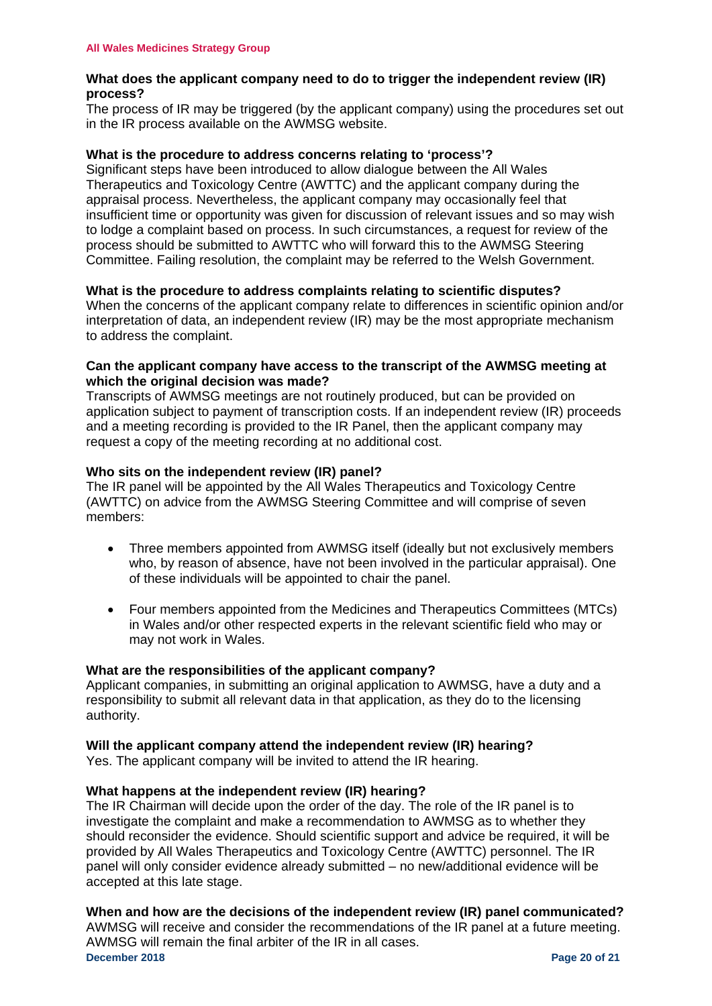## <span id="page-19-0"></span>**What does the applicant company need to do to trigger the independent review (IR) process?**

The process of IR may be triggered (by the applicant company) using the procedures set out in the IR process available on the AWMSG website.

## <span id="page-19-1"></span>**What is the procedure to address concerns relating to 'process'?**

Significant steps have been introduced to allow dialogue between the All Wales Therapeutics and Toxicology Centre (AWTTC) and the applicant company during the appraisal process. Nevertheless, the applicant company may occasionally feel that insufficient time or opportunity was given for discussion of relevant issues and so may wish to lodge a complaint based on process. In such circumstances, a request for review of the process should be submitted to AWTTC who will forward this to the AWMSG Steering Committee. Failing resolution, the complaint may be referred to the Welsh Government.

## <span id="page-19-2"></span>**What is the procedure to address complaints relating to scientific disputes?**

When the concerns of the applicant company relate to differences in scientific opinion and/or interpretation of data, an independent review (IR) may be the most appropriate mechanism to address the complaint.

## <span id="page-19-3"></span>**Can the applicant company have access to the transcript of the AWMSG meeting at which the original decision was made?**

Transcripts of AWMSG meetings are not routinely produced, but can be provided on application subject to payment of transcription costs. If an independent review (IR) proceeds and a meeting recording is provided to the IR Panel, then the applicant company may request a copy of the meeting recording at no additional cost.

## <span id="page-19-4"></span>**Who sits on the independent review (IR) panel?**

The IR panel will be appointed by the All Wales Therapeutics and Toxicology Centre (AWTTC) on advice from the AWMSG Steering Committee and will comprise of seven members:

- Three members appointed from AWMSG itself (ideally but not exclusively members who, by reason of absence, have not been involved in the particular appraisal). One of these individuals will be appointed to chair the panel.
- Four members appointed from the Medicines and Therapeutics Committees (MTCs) in Wales and/or other respected experts in the relevant scientific field who may or may not work in Wales.

## <span id="page-19-5"></span>**What are the responsibilities of the applicant company?**

Applicant companies, in submitting an original application to AWMSG, have a duty and a responsibility to submit all relevant data in that application, as they do to the licensing authority.

<span id="page-19-6"></span>**Will the applicant company attend the independent review (IR) hearing?**

Yes. The applicant company will be invited to attend the IR hearing.

## <span id="page-19-7"></span>**What happens at the independent review (IR) hearing?**

The IR Chairman will decide upon the order of the day. The role of the IR panel is to investigate the complaint and make a recommendation to AWMSG as to whether they should reconsider the evidence. Should scientific support and advice be required, it will be provided by All Wales Therapeutics and Toxicology Centre (AWTTC) personnel. The IR panel will only consider evidence already submitted – no new/additional evidence will be accepted at this late stage.

## <span id="page-19-8"></span>**When and how are the decisions of the independent review (IR) panel communicated?**

**December 2018 Page 20 of 21** AWMSG will receive and consider the recommendations of the IR panel at a future meeting. AWMSG will remain the final arbiter of the IR in all cases.